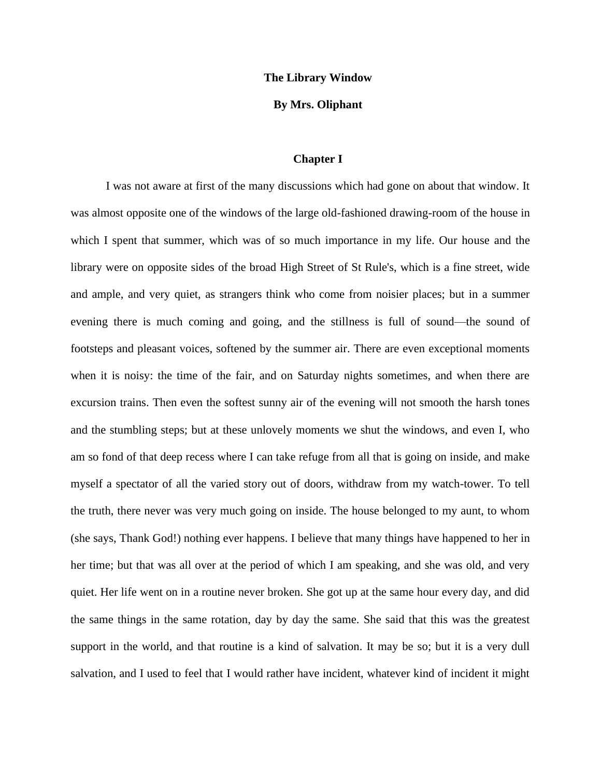#### **The Library Window**

# **By Mrs. Oliphant**

# **Chapter I**

I was not aware at first of the many discussions which had gone on about that window. It was almost opposite one of the windows of the large old-fashioned drawing-room of the house in which I spent that summer, which was of so much importance in my life. Our house and the library were on opposite sides of the broad High Street of St Rule's, which is a fine street, wide and ample, and very quiet, as strangers think who come from noisier places; but in a summer evening there is much coming and going, and the stillness is full of sound—the sound of footsteps and pleasant voices, softened by the summer air. There are even exceptional moments when it is noisy: the time of the fair, and on Saturday nights sometimes, and when there are excursion trains. Then even the softest sunny air of the evening will not smooth the harsh tones and the stumbling steps; but at these unlovely moments we shut the windows, and even I, who am so fond of that deep recess where I can take refuge from all that is going on inside, and make myself a spectator of all the varied story out of doors, withdraw from my watch-tower. To tell the truth, there never was very much going on inside. The house belonged to my aunt, to whom (she says, Thank God!) nothing ever happens. I believe that many things have happened to her in her time; but that was all over at the period of which I am speaking, and she was old, and very quiet. Her life went on in a routine never broken. She got up at the same hour every day, and did the same things in the same rotation, day by day the same. She said that this was the greatest support in the world, and that routine is a kind of salvation. It may be so; but it is a very dull salvation, and I used to feel that I would rather have incident, whatever kind of incident it might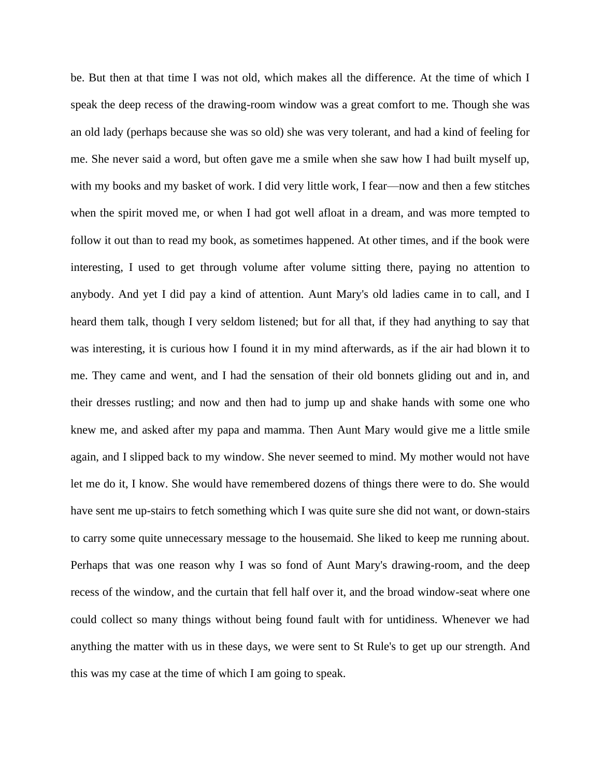be. But then at that time I was not old, which makes all the difference. At the time of which I speak the deep recess of the drawing-room window was a great comfort to me. Though she was an old lady (perhaps because she was so old) she was very tolerant, and had a kind of feeling for me. She never said a word, but often gave me a smile when she saw how I had built myself up, with my books and my basket of work. I did very little work, I fear—now and then a few stitches when the spirit moved me, or when I had got well afloat in a dream, and was more tempted to follow it out than to read my book, as sometimes happened. At other times, and if the book were interesting, I used to get through volume after volume sitting there, paying no attention to anybody. And yet I did pay a kind of attention. Aunt Mary's old ladies came in to call, and I heard them talk, though I very seldom listened; but for all that, if they had anything to say that was interesting, it is curious how I found it in my mind afterwards, as if the air had blown it to me. They came and went, and I had the sensation of their old bonnets gliding out and in, and their dresses rustling; and now and then had to jump up and shake hands with some one who knew me, and asked after my papa and mamma. Then Aunt Mary would give me a little smile again, and I slipped back to my window. She never seemed to mind. My mother would not have let me do it, I know. She would have remembered dozens of things there were to do. She would have sent me up-stairs to fetch something which I was quite sure she did not want, or down-stairs to carry some quite unnecessary message to the housemaid. She liked to keep me running about. Perhaps that was one reason why I was so fond of Aunt Mary's drawing-room, and the deep recess of the window, and the curtain that fell half over it, and the broad window-seat where one could collect so many things without being found fault with for untidiness. Whenever we had anything the matter with us in these days, we were sent to St Rule's to get up our strength. And this was my case at the time of which I am going to speak.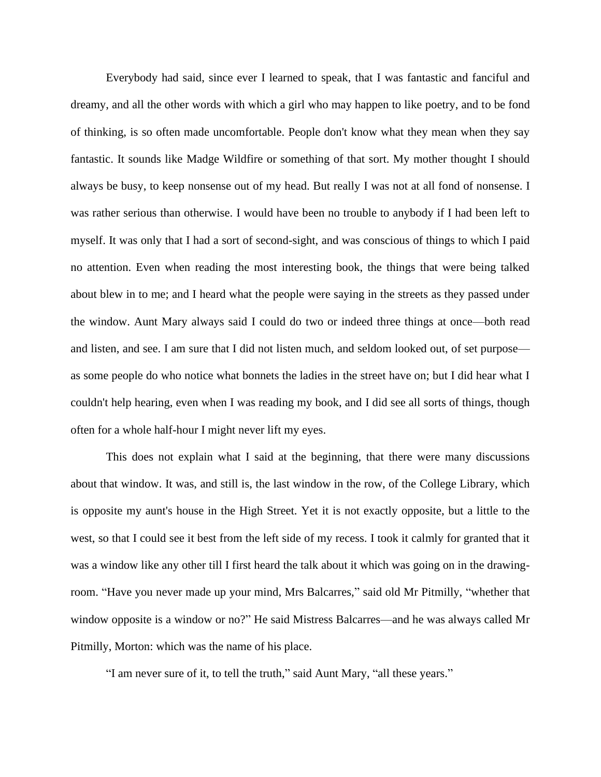Everybody had said, since ever I learned to speak, that I was fantastic and fanciful and dreamy, and all the other words with which a girl who may happen to like poetry, and to be fond of thinking, is so often made uncomfortable. People don't know what they mean when they say fantastic. It sounds like Madge Wildfire or something of that sort. My mother thought I should always be busy, to keep nonsense out of my head. But really I was not at all fond of nonsense. I was rather serious than otherwise. I would have been no trouble to anybody if I had been left to myself. It was only that I had a sort of second-sight, and was conscious of things to which I paid no attention. Even when reading the most interesting book, the things that were being talked about blew in to me; and I heard what the people were saying in the streets as they passed under the window. Aunt Mary always said I could do two or indeed three things at once—both read and listen, and see. I am sure that I did not listen much, and seldom looked out, of set purpose as some people do who notice what bonnets the ladies in the street have on; but I did hear what I couldn't help hearing, even when I was reading my book, and I did see all sorts of things, though often for a whole half-hour I might never lift my eyes.

This does not explain what I said at the beginning, that there were many discussions about that window. It was, and still is, the last window in the row, of the College Library, which is opposite my aunt's house in the High Street. Yet it is not exactly opposite, but a little to the west, so that I could see it best from the left side of my recess. I took it calmly for granted that it was a window like any other till I first heard the talk about it which was going on in the drawingroom. "Have you never made up your mind, Mrs Balcarres," said old Mr Pitmilly, "whether that window opposite is a window or no?" He said Mistress Balcarres—and he was always called Mr Pitmilly, Morton: which was the name of his place.

"I am never sure of it, to tell the truth," said Aunt Mary, "all these years."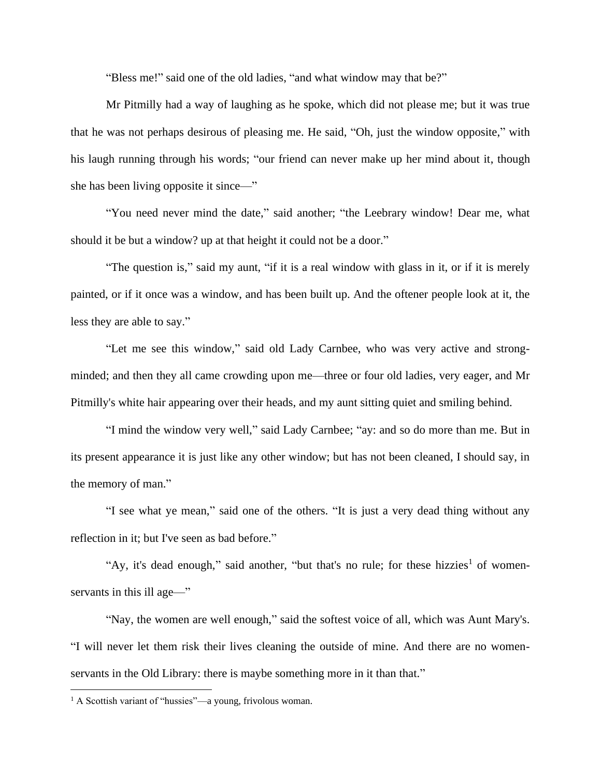"Bless me!" said one of the old ladies, "and what window may that be?"

Mr Pitmilly had a way of laughing as he spoke, which did not please me; but it was true that he was not perhaps desirous of pleasing me. He said, "Oh, just the window opposite," with his laugh running through his words; "our friend can never make up her mind about it, though she has been living opposite it since—"

"You need never mind the date," said another; "the Leebrary window! Dear me, what should it be but a window? up at that height it could not be a door."

"The question is," said my aunt, "if it is a real window with glass in it, or if it is merely painted, or if it once was a window, and has been built up. And the oftener people look at it, the less they are able to say."

"Let me see this window," said old Lady Carnbee, who was very active and strongminded; and then they all came crowding upon me—three or four old ladies, very eager, and Mr Pitmilly's white hair appearing over their heads, and my aunt sitting quiet and smiling behind.

"I mind the window very well," said Lady Carnbee; "ay: and so do more than me. But in its present appearance it is just like any other window; but has not been cleaned, I should say, in the memory of man."

"I see what ye mean," said one of the others. "It is just a very dead thing without any reflection in it; but I've seen as bad before."

"Ay, it's dead enough," said another, "but that's no rule; for these hizzies<sup>1</sup> of womenservants in this ill age—"

"Nay, the women are well enough," said the softest voice of all, which was Aunt Mary's. "I will never let them risk their lives cleaning the outside of mine. And there are no womenservants in the Old Library: there is maybe something more in it than that."

<sup>&</sup>lt;sup>1</sup> A Scottish variant of "hussies"—a young, frivolous woman.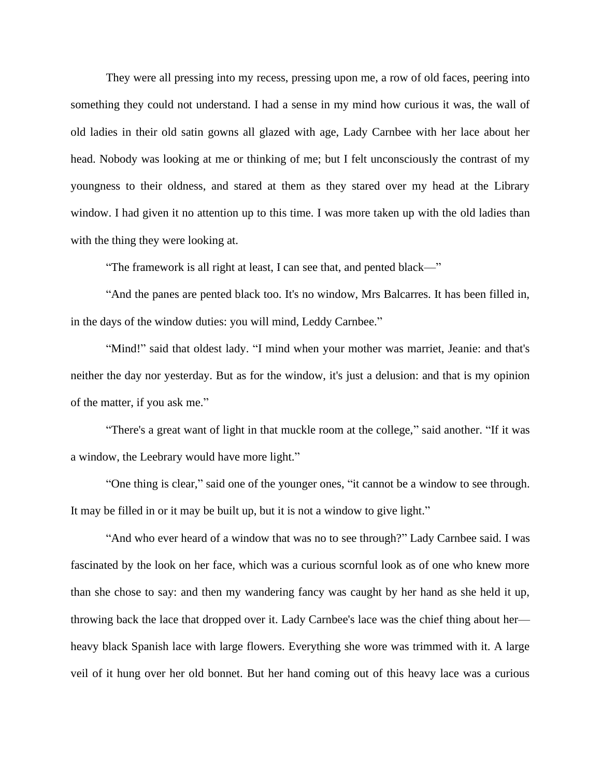They were all pressing into my recess, pressing upon me, a row of old faces, peering into something they could not understand. I had a sense in my mind how curious it was, the wall of old ladies in their old satin gowns all glazed with age, Lady Carnbee with her lace about her head. Nobody was looking at me or thinking of me; but I felt unconsciously the contrast of my youngness to their oldness, and stared at them as they stared over my head at the Library window. I had given it no attention up to this time. I was more taken up with the old ladies than with the thing they were looking at.

"The framework is all right at least, I can see that, and pented black—"

"And the panes are pented black too. It's no window, Mrs Balcarres. It has been filled in, in the days of the window duties: you will mind, Leddy Carnbee."

"Mind!" said that oldest lady. "I mind when your mother was marriet, Jeanie: and that's neither the day nor yesterday. But as for the window, it's just a delusion: and that is my opinion of the matter, if you ask me."

"There's a great want of light in that muckle room at the college," said another. "If it was a window, the Leebrary would have more light."

"One thing is clear," said one of the younger ones, "it cannot be a window to see through. It may be filled in or it may be built up, but it is not a window to give light."

"And who ever heard of a window that was no to see through?" Lady Carnbee said. I was fascinated by the look on her face, which was a curious scornful look as of one who knew more than she chose to say: and then my wandering fancy was caught by her hand as she held it up, throwing back the lace that dropped over it. Lady Carnbee's lace was the chief thing about her heavy black Spanish lace with large flowers. Everything she wore was trimmed with it. A large veil of it hung over her old bonnet. But her hand coming out of this heavy lace was a curious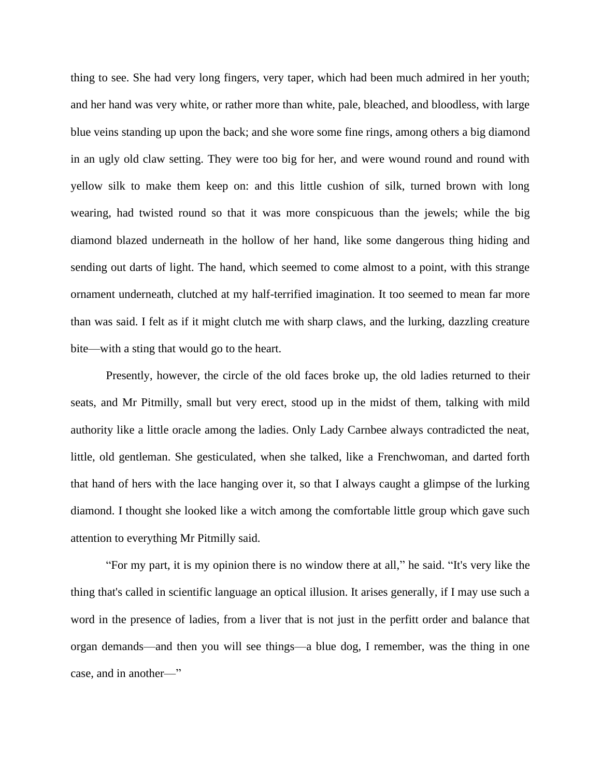thing to see. She had very long fingers, very taper, which had been much admired in her youth; and her hand was very white, or rather more than white, pale, bleached, and bloodless, with large blue veins standing up upon the back; and she wore some fine rings, among others a big diamond in an ugly old claw setting. They were too big for her, and were wound round and round with yellow silk to make them keep on: and this little cushion of silk, turned brown with long wearing, had twisted round so that it was more conspicuous than the jewels; while the big diamond blazed underneath in the hollow of her hand, like some dangerous thing hiding and sending out darts of light. The hand, which seemed to come almost to a point, with this strange ornament underneath, clutched at my half-terrified imagination. It too seemed to mean far more than was said. I felt as if it might clutch me with sharp claws, and the lurking, dazzling creature bite—with a sting that would go to the heart.

Presently, however, the circle of the old faces broke up, the old ladies returned to their seats, and Mr Pitmilly, small but very erect, stood up in the midst of them, talking with mild authority like a little oracle among the ladies. Only Lady Carnbee always contradicted the neat, little, old gentleman. She gesticulated, when she talked, like a Frenchwoman, and darted forth that hand of hers with the lace hanging over it, so that I always caught a glimpse of the lurking diamond. I thought she looked like a witch among the comfortable little group which gave such attention to everything Mr Pitmilly said.

"For my part, it is my opinion there is no window there at all," he said. "It's very like the thing that's called in scientific language an optical illusion. It arises generally, if I may use such a word in the presence of ladies, from a liver that is not just in the perfitt order and balance that organ demands—and then you will see things—a blue dog, I remember, was the thing in one case, and in another—"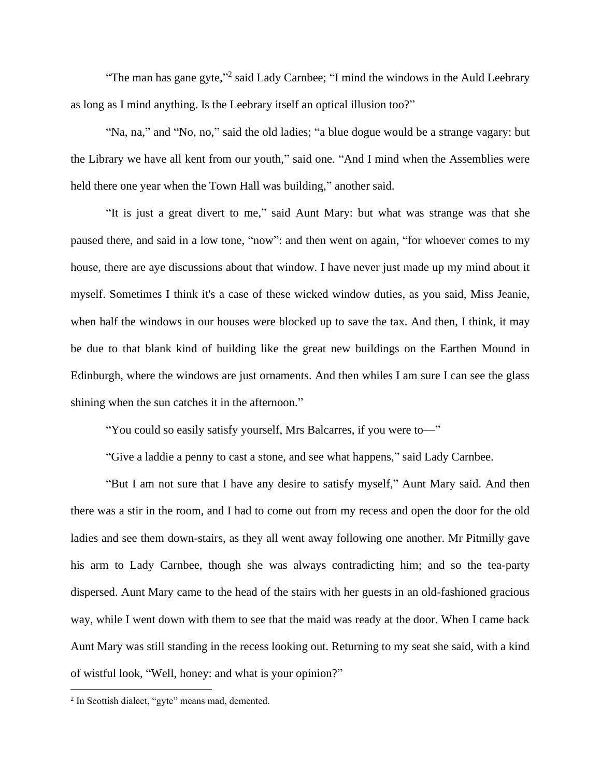"The man has gane gyte,"<sup>2</sup> said Lady Carnbee; "I mind the windows in the Auld Leebrary as long as I mind anything. Is the Leebrary itself an optical illusion too?"

"Na, na," and "No, no," said the old ladies; "a blue dogue would be a strange vagary: but the Library we have all kent from our youth," said one. "And I mind when the Assemblies were held there one year when the Town Hall was building," another said.

"It is just a great divert to me," said Aunt Mary: but what was strange was that she paused there, and said in a low tone, "now": and then went on again, "for whoever comes to my house, there are aye discussions about that window. I have never just made up my mind about it myself. Sometimes I think it's a case of these wicked window duties, as you said, Miss Jeanie, when half the windows in our houses were blocked up to save the tax. And then, I think, it may be due to that blank kind of building like the great new buildings on the Earthen Mound in Edinburgh, where the windows are just ornaments. And then whiles I am sure I can see the glass shining when the sun catches it in the afternoon."

"You could so easily satisfy yourself, Mrs Balcarres, if you were to—"

"Give a laddie a penny to cast a stone, and see what happens," said Lady Carnbee.

"But I am not sure that I have any desire to satisfy myself," Aunt Mary said. And then there was a stir in the room, and I had to come out from my recess and open the door for the old ladies and see them down-stairs, as they all went away following one another. Mr Pitmilly gave his arm to Lady Carnbee, though she was always contradicting him; and so the tea-party dispersed. Aunt Mary came to the head of the stairs with her guests in an old-fashioned gracious way, while I went down with them to see that the maid was ready at the door. When I came back Aunt Mary was still standing in the recess looking out. Returning to my seat she said, with a kind of wistful look, "Well, honey: and what is your opinion?"

<sup>&</sup>lt;sup>2</sup> In Scottish dialect, "gyte" means mad, demented.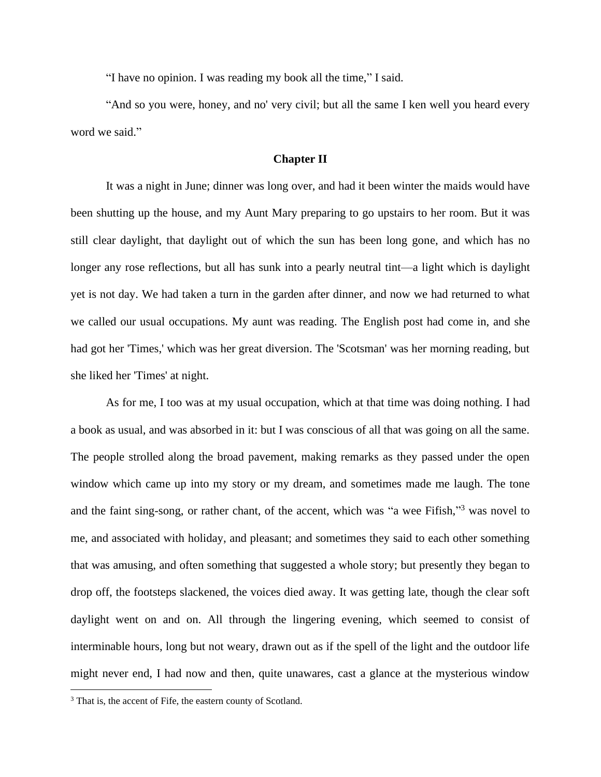"I have no opinion. I was reading my book all the time," I said.

"And so you were, honey, and no' very civil; but all the same I ken well you heard every word we said."

# **Chapter II**

It was a night in June; dinner was long over, and had it been winter the maids would have been shutting up the house, and my Aunt Mary preparing to go upstairs to her room. But it was still clear daylight, that daylight out of which the sun has been long gone, and which has no longer any rose reflections, but all has sunk into a pearly neutral tint—a light which is daylight yet is not day. We had taken a turn in the garden after dinner, and now we had returned to what we called our usual occupations. My aunt was reading. The English post had come in, and she had got her 'Times,' which was her great diversion. The 'Scotsman' was her morning reading, but she liked her 'Times' at night.

As for me, I too was at my usual occupation, which at that time was doing nothing. I had a book as usual, and was absorbed in it: but I was conscious of all that was going on all the same. The people strolled along the broad pavement, making remarks as they passed under the open window which came up into my story or my dream, and sometimes made me laugh. The tone and the faint sing-song, or rather chant, of the accent, which was "a wee Fifish,"<sup>3</sup> was novel to me, and associated with holiday, and pleasant; and sometimes they said to each other something that was amusing, and often something that suggested a whole story; but presently they began to drop off, the footsteps slackened, the voices died away. It was getting late, though the clear soft daylight went on and on. All through the lingering evening, which seemed to consist of interminable hours, long but not weary, drawn out as if the spell of the light and the outdoor life might never end, I had now and then, quite unawares, cast a glance at the mysterious window

<sup>&</sup>lt;sup>3</sup> That is, the accent of Fife, the eastern county of Scotland.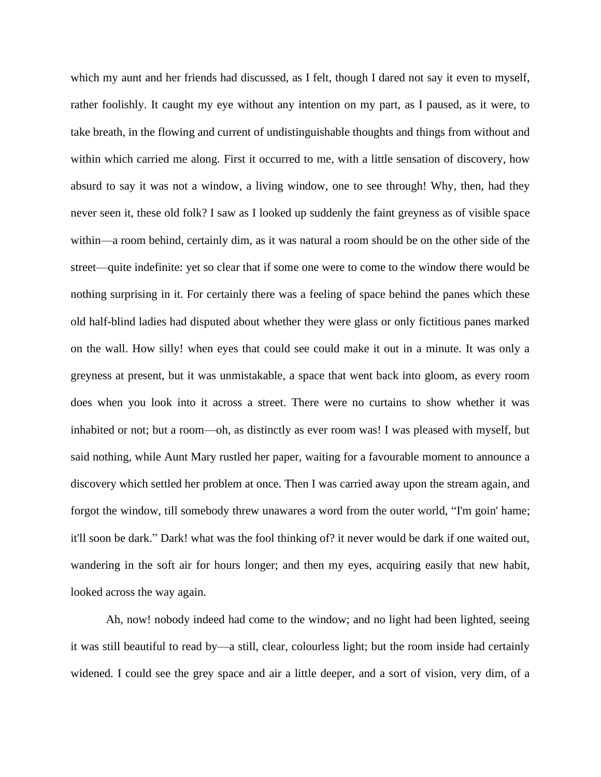which my aunt and her friends had discussed, as I felt, though I dared not say it even to myself, rather foolishly. It caught my eye without any intention on my part, as I paused, as it were, to take breath, in the flowing and current of undistinguishable thoughts and things from without and within which carried me along. First it occurred to me, with a little sensation of discovery, how absurd to say it was not a window, a living window, one to see through! Why, then, had they never seen it, these old folk? I saw as I looked up suddenly the faint greyness as of visible space within—a room behind, certainly dim, as it was natural a room should be on the other side of the street—quite indefinite: yet so clear that if some one were to come to the window there would be nothing surprising in it. For certainly there was a feeling of space behind the panes which these old half-blind ladies had disputed about whether they were glass or only fictitious panes marked on the wall. How silly! when eyes that could see could make it out in a minute. It was only a greyness at present, but it was unmistakable, a space that went back into gloom, as every room does when you look into it across a street. There were no curtains to show whether it was inhabited or not; but a room—oh, as distinctly as ever room was! I was pleased with myself, but said nothing, while Aunt Mary rustled her paper, waiting for a favourable moment to announce a discovery which settled her problem at once. Then I was carried away upon the stream again, and forgot the window, till somebody threw unawares a word from the outer world, "I'm goin' hame; it'll soon be dark." Dark! what was the fool thinking of? it never would be dark if one waited out, wandering in the soft air for hours longer; and then my eyes, acquiring easily that new habit, looked across the way again.

Ah, now! nobody indeed had come to the window; and no light had been lighted, seeing it was still beautiful to read by—a still, clear, colourless light; but the room inside had certainly widened. I could see the grey space and air a little deeper, and a sort of vision, very dim, of a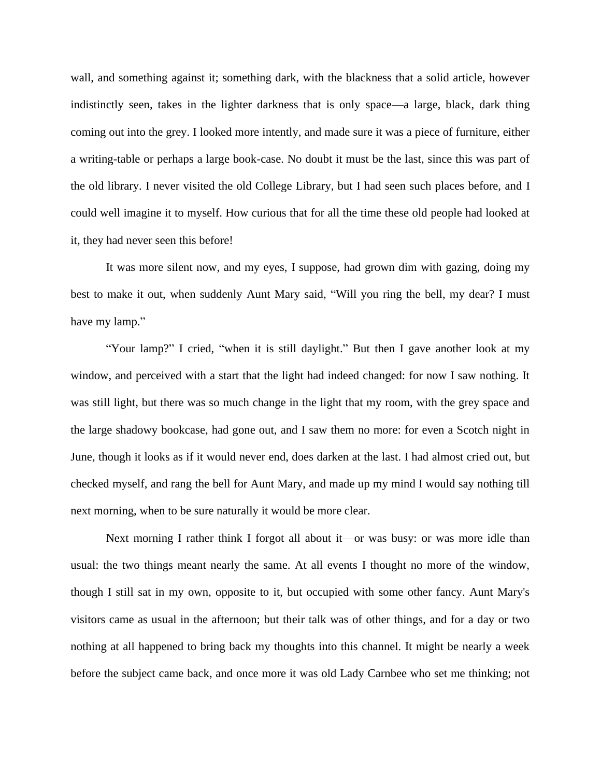wall, and something against it; something dark, with the blackness that a solid article, however indistinctly seen, takes in the lighter darkness that is only space—a large, black, dark thing coming out into the grey. I looked more intently, and made sure it was a piece of furniture, either a writing-table or perhaps a large book-case. No doubt it must be the last, since this was part of the old library. I never visited the old College Library, but I had seen such places before, and I could well imagine it to myself. How curious that for all the time these old people had looked at it, they had never seen this before!

It was more silent now, and my eyes, I suppose, had grown dim with gazing, doing my best to make it out, when suddenly Aunt Mary said, "Will you ring the bell, my dear? I must have my lamp."

"Your lamp?" I cried, "when it is still daylight." But then I gave another look at my window, and perceived with a start that the light had indeed changed: for now I saw nothing. It was still light, but there was so much change in the light that my room, with the grey space and the large shadowy bookcase, had gone out, and I saw them no more: for even a Scotch night in June, though it looks as if it would never end, does darken at the last. I had almost cried out, but checked myself, and rang the bell for Aunt Mary, and made up my mind I would say nothing till next morning, when to be sure naturally it would be more clear.

Next morning I rather think I forgot all about it—or was busy: or was more idle than usual: the two things meant nearly the same. At all events I thought no more of the window, though I still sat in my own, opposite to it, but occupied with some other fancy. Aunt Mary's visitors came as usual in the afternoon; but their talk was of other things, and for a day or two nothing at all happened to bring back my thoughts into this channel. It might be nearly a week before the subject came back, and once more it was old Lady Carnbee who set me thinking; not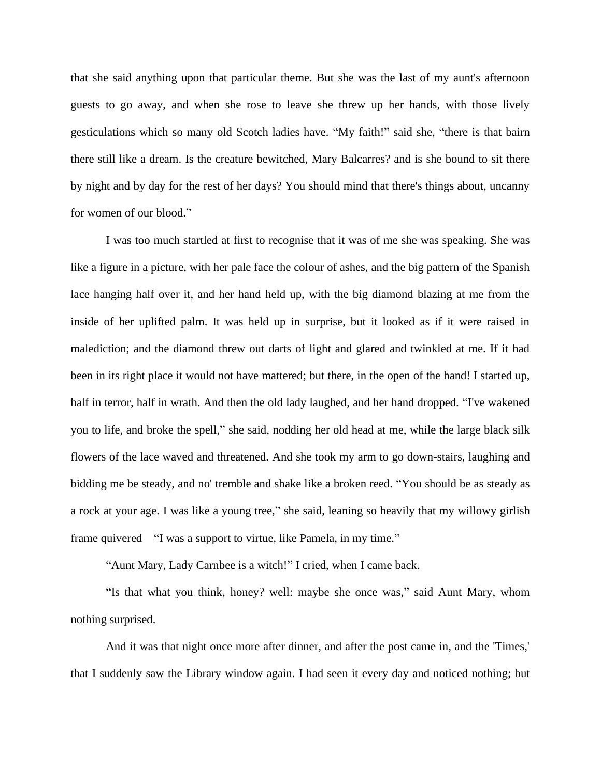that she said anything upon that particular theme. But she was the last of my aunt's afternoon guests to go away, and when she rose to leave she threw up her hands, with those lively gesticulations which so many old Scotch ladies have. "My faith!" said she, "there is that bairn there still like a dream. Is the creature bewitched, Mary Balcarres? and is she bound to sit there by night and by day for the rest of her days? You should mind that there's things about, uncanny for women of our blood."

I was too much startled at first to recognise that it was of me she was speaking. She was like a figure in a picture, with her pale face the colour of ashes, and the big pattern of the Spanish lace hanging half over it, and her hand held up, with the big diamond blazing at me from the inside of her uplifted palm. It was held up in surprise, but it looked as if it were raised in malediction; and the diamond threw out darts of light and glared and twinkled at me. If it had been in its right place it would not have mattered; but there, in the open of the hand! I started up, half in terror, half in wrath. And then the old lady laughed, and her hand dropped. "I've wakened you to life, and broke the spell," she said, nodding her old head at me, while the large black silk flowers of the lace waved and threatened. And she took my arm to go down-stairs, laughing and bidding me be steady, and no' tremble and shake like a broken reed. "You should be as steady as a rock at your age. I was like a young tree," she said, leaning so heavily that my willowy girlish frame quivered—"I was a support to virtue, like Pamela, in my time."

"Aunt Mary, Lady Carnbee is a witch!" I cried, when I came back.

"Is that what you think, honey? well: maybe she once was," said Aunt Mary, whom nothing surprised.

And it was that night once more after dinner, and after the post came in, and the 'Times,' that I suddenly saw the Library window again. I had seen it every day and noticed nothing; but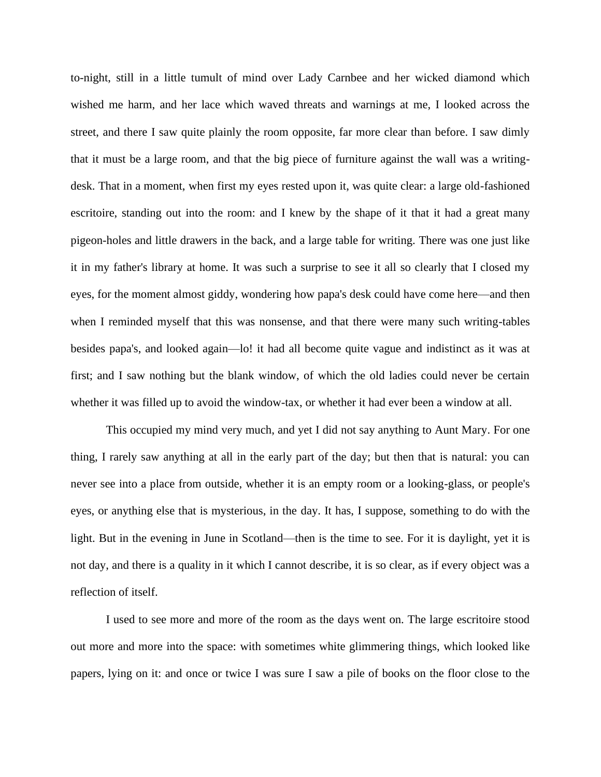to-night, still in a little tumult of mind over Lady Carnbee and her wicked diamond which wished me harm, and her lace which waved threats and warnings at me, I looked across the street, and there I saw quite plainly the room opposite, far more clear than before. I saw dimly that it must be a large room, and that the big piece of furniture against the wall was a writingdesk. That in a moment, when first my eyes rested upon it, was quite clear: a large old-fashioned escritoire, standing out into the room: and I knew by the shape of it that it had a great many pigeon-holes and little drawers in the back, and a large table for writing. There was one just like it in my father's library at home. It was such a surprise to see it all so clearly that I closed my eyes, for the moment almost giddy, wondering how papa's desk could have come here—and then when I reminded myself that this was nonsense, and that there were many such writing-tables besides papa's, and looked again—lo! it had all become quite vague and indistinct as it was at first; and I saw nothing but the blank window, of which the old ladies could never be certain whether it was filled up to avoid the window-tax, or whether it had ever been a window at all.

This occupied my mind very much, and yet I did not say anything to Aunt Mary. For one thing, I rarely saw anything at all in the early part of the day; but then that is natural: you can never see into a place from outside, whether it is an empty room or a looking-glass, or people's eyes, or anything else that is mysterious, in the day. It has, I suppose, something to do with the light. But in the evening in June in Scotland—then is the time to see. For it is daylight, yet it is not day, and there is a quality in it which I cannot describe, it is so clear, as if every object was a reflection of itself.

I used to see more and more of the room as the days went on. The large escritoire stood out more and more into the space: with sometimes white glimmering things, which looked like papers, lying on it: and once or twice I was sure I saw a pile of books on the floor close to the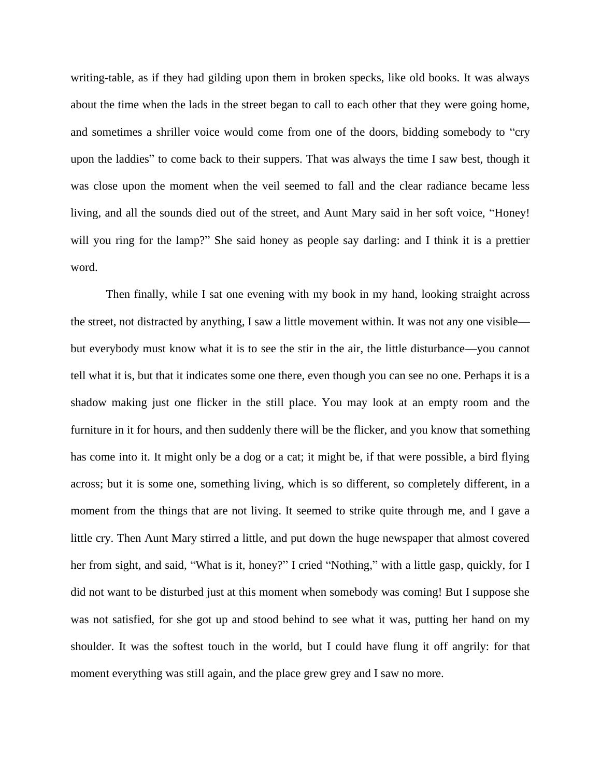writing-table, as if they had gilding upon them in broken specks, like old books. It was always about the time when the lads in the street began to call to each other that they were going home, and sometimes a shriller voice would come from one of the doors, bidding somebody to "cry upon the laddies" to come back to their suppers. That was always the time I saw best, though it was close upon the moment when the veil seemed to fall and the clear radiance became less living, and all the sounds died out of the street, and Aunt Mary said in her soft voice, "Honey! will you ring for the lamp?" She said honey as people say darling: and I think it is a prettier word.

Then finally, while I sat one evening with my book in my hand, looking straight across the street, not distracted by anything, I saw a little movement within. It was not any one visible but everybody must know what it is to see the stir in the air, the little disturbance—you cannot tell what it is, but that it indicates some one there, even though you can see no one. Perhaps it is a shadow making just one flicker in the still place. You may look at an empty room and the furniture in it for hours, and then suddenly there will be the flicker, and you know that something has come into it. It might only be a dog or a cat; it might be, if that were possible, a bird flying across; but it is some one, something living, which is so different, so completely different, in a moment from the things that are not living. It seemed to strike quite through me, and I gave a little cry. Then Aunt Mary stirred a little, and put down the huge newspaper that almost covered her from sight, and said, "What is it, honey?" I cried "Nothing," with a little gasp, quickly, for I did not want to be disturbed just at this moment when somebody was coming! But I suppose she was not satisfied, for she got up and stood behind to see what it was, putting her hand on my shoulder. It was the softest touch in the world, but I could have flung it off angrily: for that moment everything was still again, and the place grew grey and I saw no more.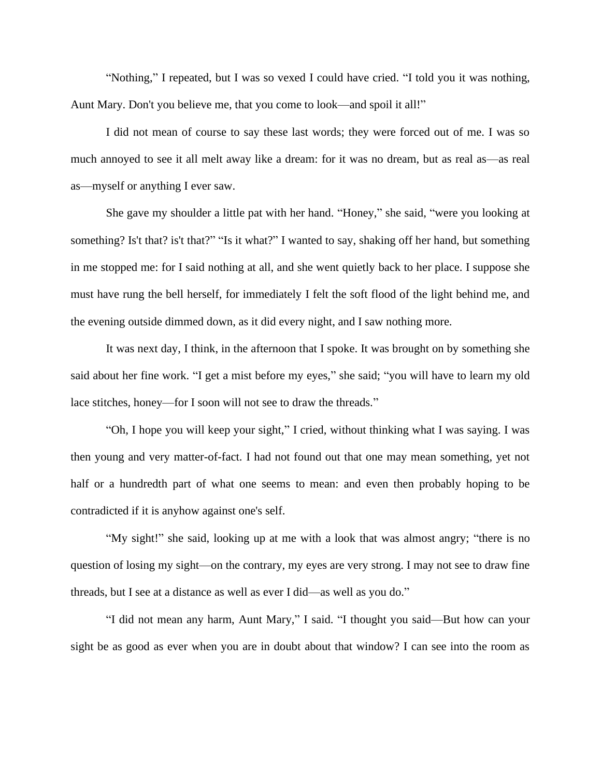"Nothing," I repeated, but I was so vexed I could have cried. "I told you it was nothing, Aunt Mary. Don't you believe me, that you come to look—and spoil it all!"

I did not mean of course to say these last words; they were forced out of me. I was so much annoyed to see it all melt away like a dream: for it was no dream, but as real as—as real as—myself or anything I ever saw.

She gave my shoulder a little pat with her hand. "Honey," she said, "were you looking at something? Is't that? is't that?" "Is it what?" I wanted to say, shaking off her hand, but something in me stopped me: for I said nothing at all, and she went quietly back to her place. I suppose she must have rung the bell herself, for immediately I felt the soft flood of the light behind me, and the evening outside dimmed down, as it did every night, and I saw nothing more.

It was next day, I think, in the afternoon that I spoke. It was brought on by something she said about her fine work. "I get a mist before my eyes," she said; "you will have to learn my old lace stitches, honey—for I soon will not see to draw the threads."

"Oh, I hope you will keep your sight," I cried, without thinking what I was saying. I was then young and very matter-of-fact. I had not found out that one may mean something, yet not half or a hundredth part of what one seems to mean: and even then probably hoping to be contradicted if it is anyhow against one's self.

"My sight!" she said, looking up at me with a look that was almost angry; "there is no question of losing my sight—on the contrary, my eyes are very strong. I may not see to draw fine threads, but I see at a distance as well as ever I did—as well as you do."

"I did not mean any harm, Aunt Mary," I said. "I thought you said—But how can your sight be as good as ever when you are in doubt about that window? I can see into the room as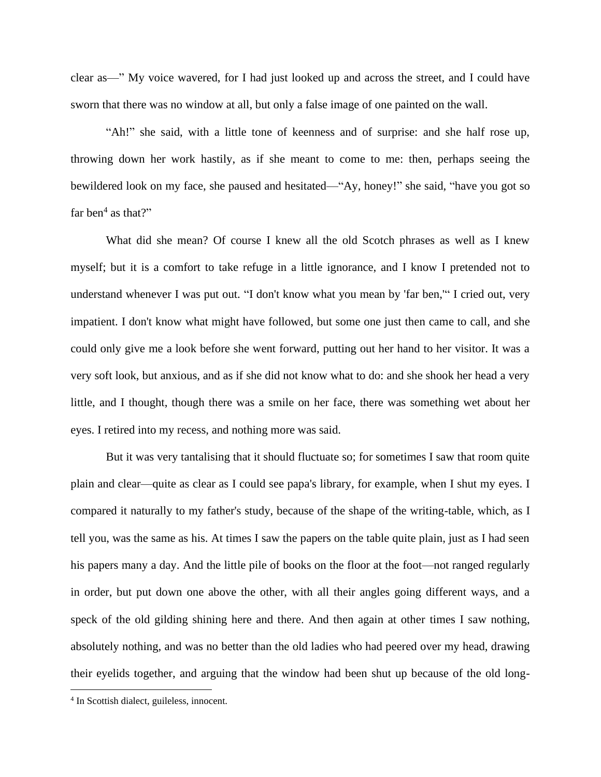clear as—" My voice wavered, for I had just looked up and across the street, and I could have sworn that there was no window at all, but only a false image of one painted on the wall.

"Ah!" she said, with a little tone of keenness and of surprise: and she half rose up, throwing down her work hastily, as if she meant to come to me: then, perhaps seeing the bewildered look on my face, she paused and hesitated—"Ay, honey!" she said, "have you got so far ben<sup>4</sup> as that?"

What did she mean? Of course I knew all the old Scotch phrases as well as I knew myself; but it is a comfort to take refuge in a little ignorance, and I know I pretended not to understand whenever I was put out. "I don't know what you mean by 'far ben,'" I cried out, very impatient. I don't know what might have followed, but some one just then came to call, and she could only give me a look before she went forward, putting out her hand to her visitor. It was a very soft look, but anxious, and as if she did not know what to do: and she shook her head a very little, and I thought, though there was a smile on her face, there was something wet about her eyes. I retired into my recess, and nothing more was said.

But it was very tantalising that it should fluctuate so; for sometimes I saw that room quite plain and clear—quite as clear as I could see papa's library, for example, when I shut my eyes. I compared it naturally to my father's study, because of the shape of the writing-table, which, as I tell you, was the same as his. At times I saw the papers on the table quite plain, just as I had seen his papers many a day. And the little pile of books on the floor at the foot—not ranged regularly in order, but put down one above the other, with all their angles going different ways, and a speck of the old gilding shining here and there. And then again at other times I saw nothing, absolutely nothing, and was no better than the old ladies who had peered over my head, drawing their eyelids together, and arguing that the window had been shut up because of the old long-

<sup>4</sup> In Scottish dialect, guileless, innocent.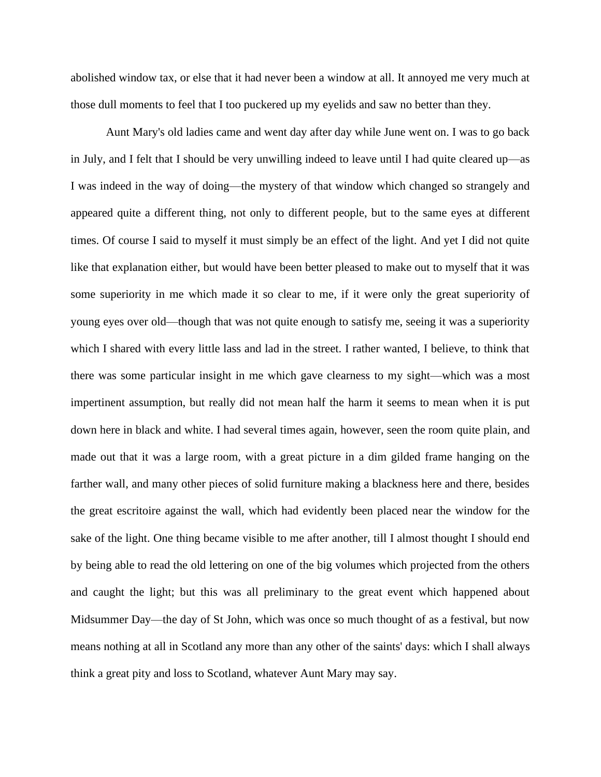abolished window tax, or else that it had never been a window at all. It annoyed me very much at those dull moments to feel that I too puckered up my eyelids and saw no better than they.

Aunt Mary's old ladies came and went day after day while June went on. I was to go back in July, and I felt that I should be very unwilling indeed to leave until I had quite cleared up—as I was indeed in the way of doing—the mystery of that window which changed so strangely and appeared quite a different thing, not only to different people, but to the same eyes at different times. Of course I said to myself it must simply be an effect of the light. And yet I did not quite like that explanation either, but would have been better pleased to make out to myself that it was some superiority in me which made it so clear to me, if it were only the great superiority of young eyes over old—though that was not quite enough to satisfy me, seeing it was a superiority which I shared with every little lass and lad in the street. I rather wanted, I believe, to think that there was some particular insight in me which gave clearness to my sight—which was a most impertinent assumption, but really did not mean half the harm it seems to mean when it is put down here in black and white. I had several times again, however, seen the room quite plain, and made out that it was a large room, with a great picture in a dim gilded frame hanging on the farther wall, and many other pieces of solid furniture making a blackness here and there, besides the great escritoire against the wall, which had evidently been placed near the window for the sake of the light. One thing became visible to me after another, till I almost thought I should end by being able to read the old lettering on one of the big volumes which projected from the others and caught the light; but this was all preliminary to the great event which happened about Midsummer Day—the day of St John, which was once so much thought of as a festival, but now means nothing at all in Scotland any more than any other of the saints' days: which I shall always think a great pity and loss to Scotland, whatever Aunt Mary may say.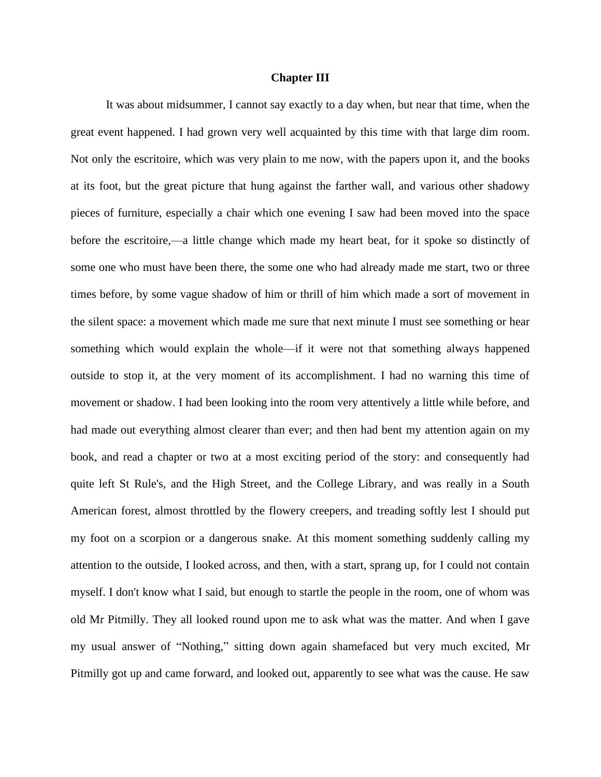## **Chapter III**

It was about midsummer, I cannot say exactly to a day when, but near that time, when the great event happened. I had grown very well acquainted by this time with that large dim room. Not only the escritoire, which was very plain to me now, with the papers upon it, and the books at its foot, but the great picture that hung against the farther wall, and various other shadowy pieces of furniture, especially a chair which one evening I saw had been moved into the space before the escritoire,—a little change which made my heart beat, for it spoke so distinctly of some one who must have been there, the some one who had already made me start, two or three times before, by some vague shadow of him or thrill of him which made a sort of movement in the silent space: a movement which made me sure that next minute I must see something or hear something which would explain the whole—if it were not that something always happened outside to stop it, at the very moment of its accomplishment. I had no warning this time of movement or shadow. I had been looking into the room very attentively a little while before, and had made out everything almost clearer than ever; and then had bent my attention again on my book, and read a chapter or two at a most exciting period of the story: and consequently had quite left St Rule's, and the High Street, and the College Library, and was really in a South American forest, almost throttled by the flowery creepers, and treading softly lest I should put my foot on a scorpion or a dangerous snake. At this moment something suddenly calling my attention to the outside, I looked across, and then, with a start, sprang up, for I could not contain myself. I don't know what I said, but enough to startle the people in the room, one of whom was old Mr Pitmilly. They all looked round upon me to ask what was the matter. And when I gave my usual answer of "Nothing," sitting down again shamefaced but very much excited, Mr Pitmilly got up and came forward, and looked out, apparently to see what was the cause. He saw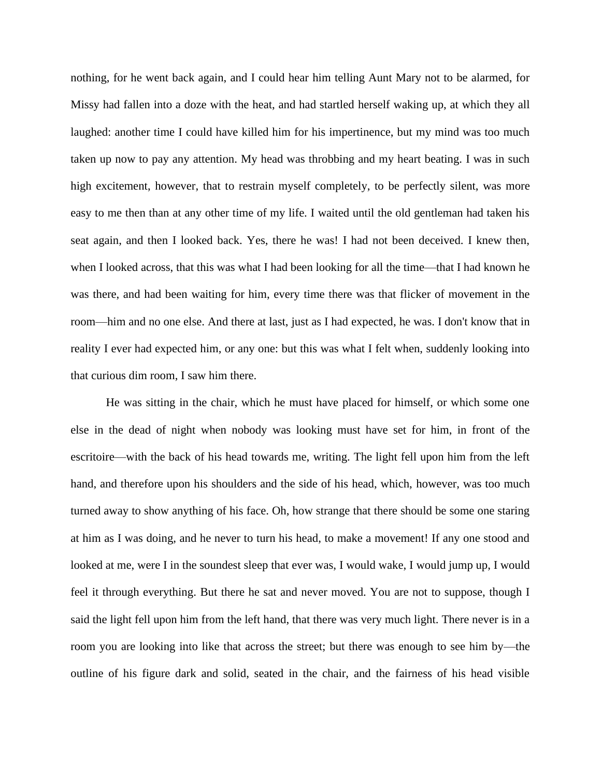nothing, for he went back again, and I could hear him telling Aunt Mary not to be alarmed, for Missy had fallen into a doze with the heat, and had startled herself waking up, at which they all laughed: another time I could have killed him for his impertinence, but my mind was too much taken up now to pay any attention. My head was throbbing and my heart beating. I was in such high excitement, however, that to restrain myself completely, to be perfectly silent, was more easy to me then than at any other time of my life. I waited until the old gentleman had taken his seat again, and then I looked back. Yes, there he was! I had not been deceived. I knew then, when I looked across, that this was what I had been looking for all the time—that I had known he was there, and had been waiting for him, every time there was that flicker of movement in the room—him and no one else. And there at last, just as I had expected, he was. I don't know that in reality I ever had expected him, or any one: but this was what I felt when, suddenly looking into that curious dim room, I saw him there.

He was sitting in the chair, which he must have placed for himself, or which some one else in the dead of night when nobody was looking must have set for him, in front of the escritoire—with the back of his head towards me, writing. The light fell upon him from the left hand, and therefore upon his shoulders and the side of his head, which, however, was too much turned away to show anything of his face. Oh, how strange that there should be some one staring at him as I was doing, and he never to turn his head, to make a movement! If any one stood and looked at me, were I in the soundest sleep that ever was, I would wake, I would jump up, I would feel it through everything. But there he sat and never moved. You are not to suppose, though I said the light fell upon him from the left hand, that there was very much light. There never is in a room you are looking into like that across the street; but there was enough to see him by—the outline of his figure dark and solid, seated in the chair, and the fairness of his head visible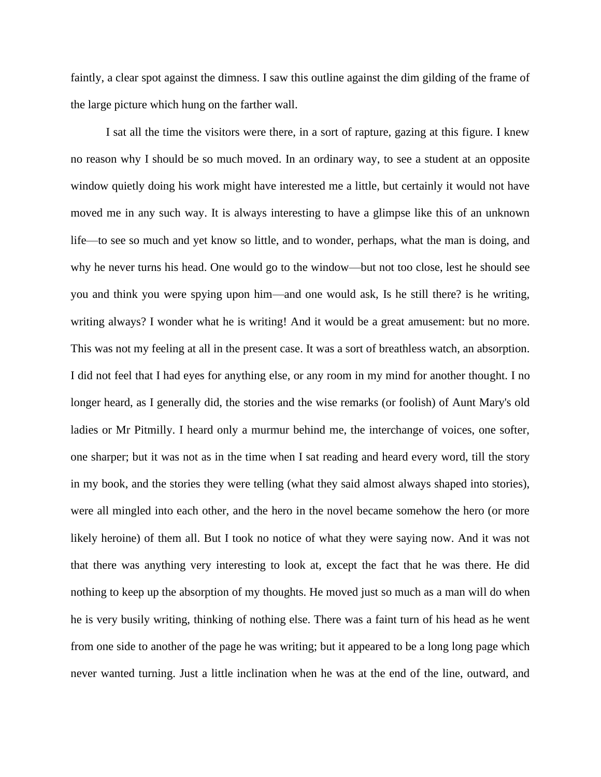faintly, a clear spot against the dimness. I saw this outline against the dim gilding of the frame of the large picture which hung on the farther wall.

I sat all the time the visitors were there, in a sort of rapture, gazing at this figure. I knew no reason why I should be so much moved. In an ordinary way, to see a student at an opposite window quietly doing his work might have interested me a little, but certainly it would not have moved me in any such way. It is always interesting to have a glimpse like this of an unknown life—to see so much and yet know so little, and to wonder, perhaps, what the man is doing, and why he never turns his head. One would go to the window—but not too close, lest he should see you and think you were spying upon him—and one would ask, Is he still there? is he writing, writing always? I wonder what he is writing! And it would be a great amusement: but no more. This was not my feeling at all in the present case. It was a sort of breathless watch, an absorption. I did not feel that I had eyes for anything else, or any room in my mind for another thought. I no longer heard, as I generally did, the stories and the wise remarks (or foolish) of Aunt Mary's old ladies or Mr Pitmilly. I heard only a murmur behind me, the interchange of voices, one softer, one sharper; but it was not as in the time when I sat reading and heard every word, till the story in my book, and the stories they were telling (what they said almost always shaped into stories), were all mingled into each other, and the hero in the novel became somehow the hero (or more likely heroine) of them all. But I took no notice of what they were saying now. And it was not that there was anything very interesting to look at, except the fact that he was there. He did nothing to keep up the absorption of my thoughts. He moved just so much as a man will do when he is very busily writing, thinking of nothing else. There was a faint turn of his head as he went from one side to another of the page he was writing; but it appeared to be a long long page which never wanted turning. Just a little inclination when he was at the end of the line, outward, and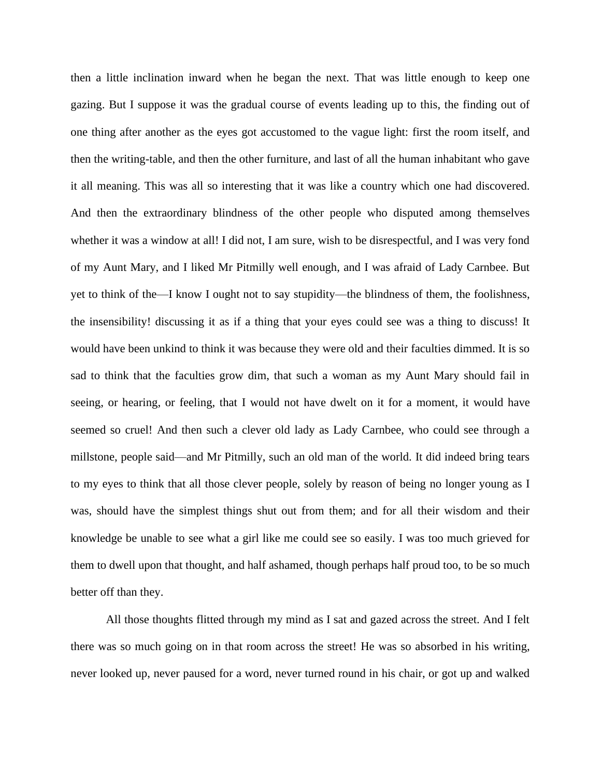then a little inclination inward when he began the next. That was little enough to keep one gazing. But I suppose it was the gradual course of events leading up to this, the finding out of one thing after another as the eyes got accustomed to the vague light: first the room itself, and then the writing-table, and then the other furniture, and last of all the human inhabitant who gave it all meaning. This was all so interesting that it was like a country which one had discovered. And then the extraordinary blindness of the other people who disputed among themselves whether it was a window at all! I did not, I am sure, wish to be disrespectful, and I was very fond of my Aunt Mary, and I liked Mr Pitmilly well enough, and I was afraid of Lady Carnbee. But yet to think of the—I know I ought not to say stupidity—the blindness of them, the foolishness, the insensibility! discussing it as if a thing that your eyes could see was a thing to discuss! It would have been unkind to think it was because they were old and their faculties dimmed. It is so sad to think that the faculties grow dim, that such a woman as my Aunt Mary should fail in seeing, or hearing, or feeling, that I would not have dwelt on it for a moment, it would have seemed so cruel! And then such a clever old lady as Lady Carnbee, who could see through a millstone, people said—and Mr Pitmilly, such an old man of the world. It did indeed bring tears to my eyes to think that all those clever people, solely by reason of being no longer young as I was, should have the simplest things shut out from them; and for all their wisdom and their knowledge be unable to see what a girl like me could see so easily. I was too much grieved for them to dwell upon that thought, and half ashamed, though perhaps half proud too, to be so much better off than they.

All those thoughts flitted through my mind as I sat and gazed across the street. And I felt there was so much going on in that room across the street! He was so absorbed in his writing, never looked up, never paused for a word, never turned round in his chair, or got up and walked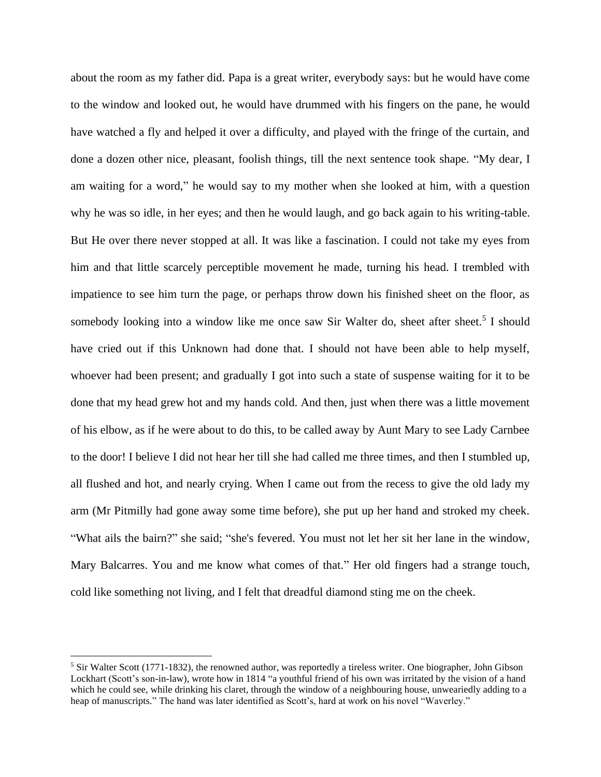about the room as my father did. Papa is a great writer, everybody says: but he would have come to the window and looked out, he would have drummed with his fingers on the pane, he would have watched a fly and helped it over a difficulty, and played with the fringe of the curtain, and done a dozen other nice, pleasant, foolish things, till the next sentence took shape. "My dear, I am waiting for a word," he would say to my mother when she looked at him, with a question why he was so idle, in her eyes; and then he would laugh, and go back again to his writing-table. But He over there never stopped at all. It was like a fascination. I could not take my eyes from him and that little scarcely perceptible movement he made, turning his head. I trembled with impatience to see him turn the page, or perhaps throw down his finished sheet on the floor, as somebody looking into a window like me once saw Sir Walter do, sheet after sheet.<sup>5</sup> I should have cried out if this Unknown had done that. I should not have been able to help myself, whoever had been present; and gradually I got into such a state of suspense waiting for it to be done that my head grew hot and my hands cold. And then, just when there was a little movement of his elbow, as if he were about to do this, to be called away by Aunt Mary to see Lady Carnbee to the door! I believe I did not hear her till she had called me three times, and then I stumbled up, all flushed and hot, and nearly crying. When I came out from the recess to give the old lady my arm (Mr Pitmilly had gone away some time before), she put up her hand and stroked my cheek. "What ails the bairn?" she said; "she's fevered. You must not let her sit her lane in the window, Mary Balcarres. You and me know what comes of that." Her old fingers had a strange touch, cold like something not living, and I felt that dreadful diamond sting me on the cheek.

 $<sup>5</sup>$  Sir Walter Scott (1771-1832), the renowned author, was reportedly a tireless writer. One biographer, John Gibson</sup> Lockhart (Scott's son-in-law), wrote how in 1814 "a youthful friend of his own was irritated by the vision of a hand which he could see, while drinking his claret, through the window of a neighbouring house, unweariedly adding to a heap of manuscripts." The hand was later identified as Scott's, hard at work on his novel "Waverley."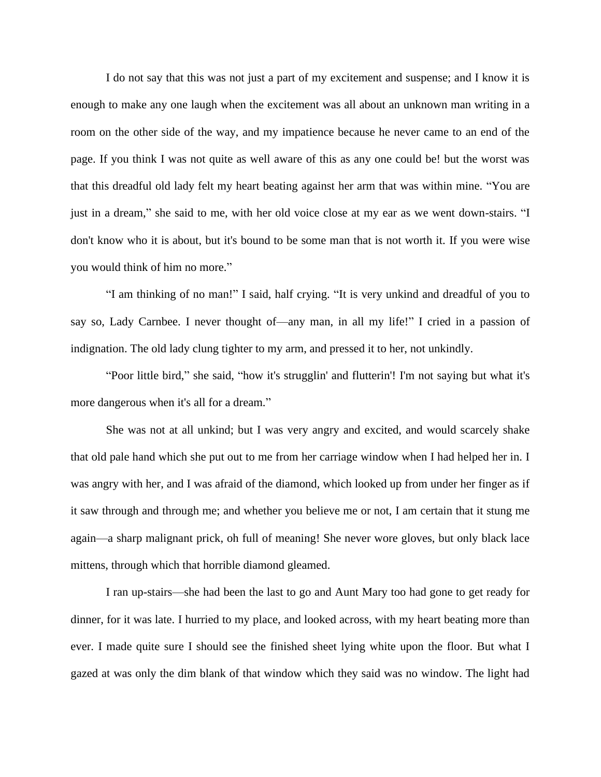I do not say that this was not just a part of my excitement and suspense; and I know it is enough to make any one laugh when the excitement was all about an unknown man writing in a room on the other side of the way, and my impatience because he never came to an end of the page. If you think I was not quite as well aware of this as any one could be! but the worst was that this dreadful old lady felt my heart beating against her arm that was within mine. "You are just in a dream," she said to me, with her old voice close at my ear as we went down-stairs. "I don't know who it is about, but it's bound to be some man that is not worth it. If you were wise you would think of him no more."

"I am thinking of no man!" I said, half crying. "It is very unkind and dreadful of you to say so, Lady Carnbee. I never thought of—any man, in all my life!" I cried in a passion of indignation. The old lady clung tighter to my arm, and pressed it to her, not unkindly.

"Poor little bird," she said, "how it's strugglin' and flutterin'! I'm not saying but what it's more dangerous when it's all for a dream."

She was not at all unkind; but I was very angry and excited, and would scarcely shake that old pale hand which she put out to me from her carriage window when I had helped her in. I was angry with her, and I was afraid of the diamond, which looked up from under her finger as if it saw through and through me; and whether you believe me or not, I am certain that it stung me again—a sharp malignant prick, oh full of meaning! She never wore gloves, but only black lace mittens, through which that horrible diamond gleamed.

I ran up-stairs—she had been the last to go and Aunt Mary too had gone to get ready for dinner, for it was late. I hurried to my place, and looked across, with my heart beating more than ever. I made quite sure I should see the finished sheet lying white upon the floor. But what I gazed at was only the dim blank of that window which they said was no window. The light had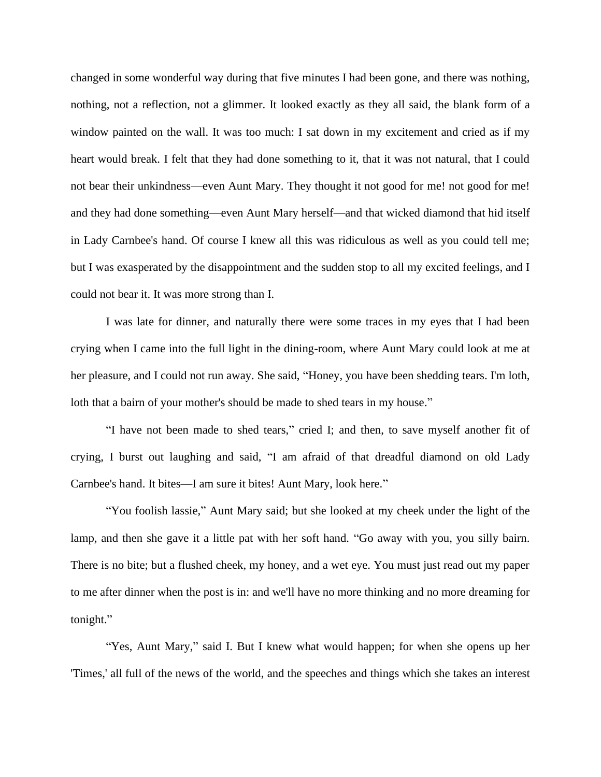changed in some wonderful way during that five minutes I had been gone, and there was nothing, nothing, not a reflection, not a glimmer. It looked exactly as they all said, the blank form of a window painted on the wall. It was too much: I sat down in my excitement and cried as if my heart would break. I felt that they had done something to it, that it was not natural, that I could not bear their unkindness—even Aunt Mary. They thought it not good for me! not good for me! and they had done something—even Aunt Mary herself—and that wicked diamond that hid itself in Lady Carnbee's hand. Of course I knew all this was ridiculous as well as you could tell me; but I was exasperated by the disappointment and the sudden stop to all my excited feelings, and I could not bear it. It was more strong than I.

I was late for dinner, and naturally there were some traces in my eyes that I had been crying when I came into the full light in the dining-room, where Aunt Mary could look at me at her pleasure, and I could not run away. She said, "Honey, you have been shedding tears. I'm loth, loth that a bairn of your mother's should be made to shed tears in my house."

"I have not been made to shed tears," cried I; and then, to save myself another fit of crying, I burst out laughing and said, "I am afraid of that dreadful diamond on old Lady Carnbee's hand. It bites—I am sure it bites! Aunt Mary, look here."

"You foolish lassie," Aunt Mary said; but she looked at my cheek under the light of the lamp, and then she gave it a little pat with her soft hand. "Go away with you, you silly bairn. There is no bite; but a flushed cheek, my honey, and a wet eye. You must just read out my paper to me after dinner when the post is in: and we'll have no more thinking and no more dreaming for tonight."

"Yes, Aunt Mary," said I. But I knew what would happen; for when she opens up her 'Times,' all full of the news of the world, and the speeches and things which she takes an interest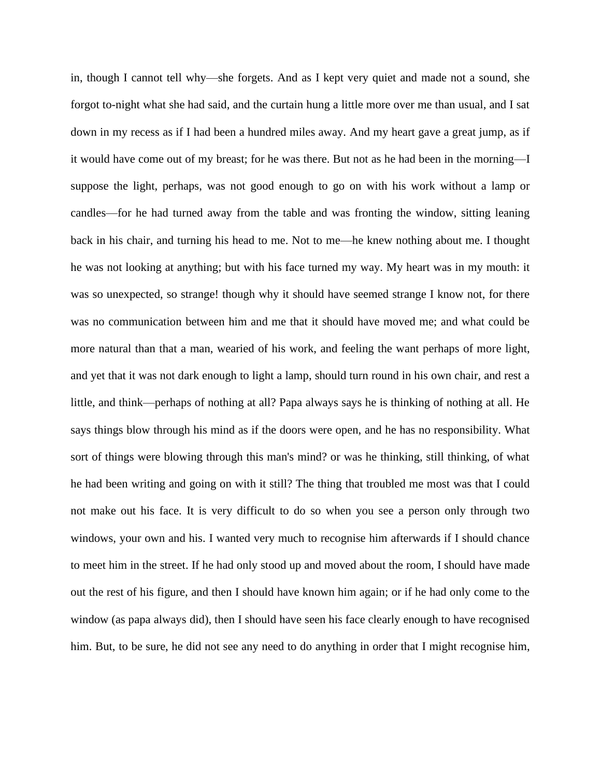in, though I cannot tell why—she forgets. And as I kept very quiet and made not a sound, she forgot to-night what she had said, and the curtain hung a little more over me than usual, and I sat down in my recess as if I had been a hundred miles away. And my heart gave a great jump, as if it would have come out of my breast; for he was there. But not as he had been in the morning—I suppose the light, perhaps, was not good enough to go on with his work without a lamp or candles—for he had turned away from the table and was fronting the window, sitting leaning back in his chair, and turning his head to me. Not to me—he knew nothing about me. I thought he was not looking at anything; but with his face turned my way. My heart was in my mouth: it was so unexpected, so strange! though why it should have seemed strange I know not, for there was no communication between him and me that it should have moved me; and what could be more natural than that a man, wearied of his work, and feeling the want perhaps of more light, and yet that it was not dark enough to light a lamp, should turn round in his own chair, and rest a little, and think—perhaps of nothing at all? Papa always says he is thinking of nothing at all. He says things blow through his mind as if the doors were open, and he has no responsibility. What sort of things were blowing through this man's mind? or was he thinking, still thinking, of what he had been writing and going on with it still? The thing that troubled me most was that I could not make out his face. It is very difficult to do so when you see a person only through two windows, your own and his. I wanted very much to recognise him afterwards if I should chance to meet him in the street. If he had only stood up and moved about the room, I should have made out the rest of his figure, and then I should have known him again; or if he had only come to the window (as papa always did), then I should have seen his face clearly enough to have recognised him. But, to be sure, he did not see any need to do anything in order that I might recognise him,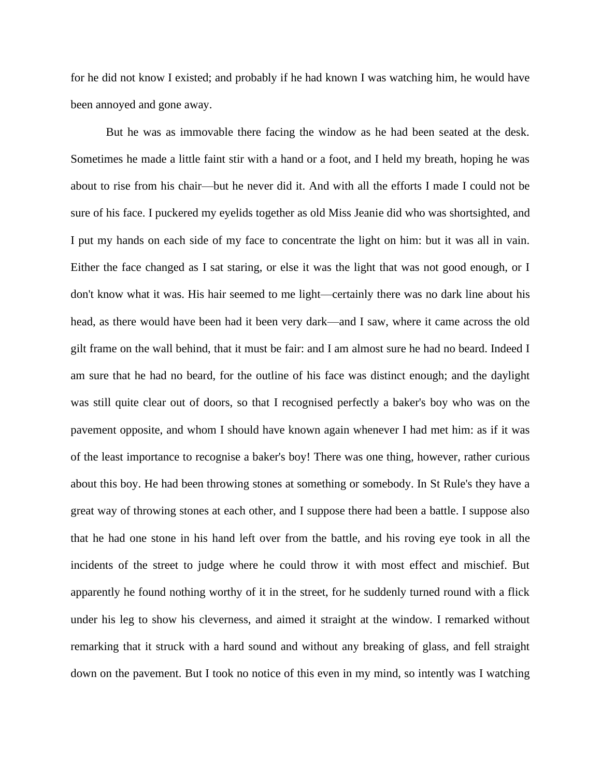for he did not know I existed; and probably if he had known I was watching him, he would have been annoyed and gone away.

But he was as immovable there facing the window as he had been seated at the desk. Sometimes he made a little faint stir with a hand or a foot, and I held my breath, hoping he was about to rise from his chair—but he never did it. And with all the efforts I made I could not be sure of his face. I puckered my eyelids together as old Miss Jeanie did who was shortsighted, and I put my hands on each side of my face to concentrate the light on him: but it was all in vain. Either the face changed as I sat staring, or else it was the light that was not good enough, or I don't know what it was. His hair seemed to me light—certainly there was no dark line about his head, as there would have been had it been very dark—and I saw, where it came across the old gilt frame on the wall behind, that it must be fair: and I am almost sure he had no beard. Indeed I am sure that he had no beard, for the outline of his face was distinct enough; and the daylight was still quite clear out of doors, so that I recognised perfectly a baker's boy who was on the pavement opposite, and whom I should have known again whenever I had met him: as if it was of the least importance to recognise a baker's boy! There was one thing, however, rather curious about this boy. He had been throwing stones at something or somebody. In St Rule's they have a great way of throwing stones at each other, and I suppose there had been a battle. I suppose also that he had one stone in his hand left over from the battle, and his roving eye took in all the incidents of the street to judge where he could throw it with most effect and mischief. But apparently he found nothing worthy of it in the street, for he suddenly turned round with a flick under his leg to show his cleverness, and aimed it straight at the window. I remarked without remarking that it struck with a hard sound and without any breaking of glass, and fell straight down on the pavement. But I took no notice of this even in my mind, so intently was I watching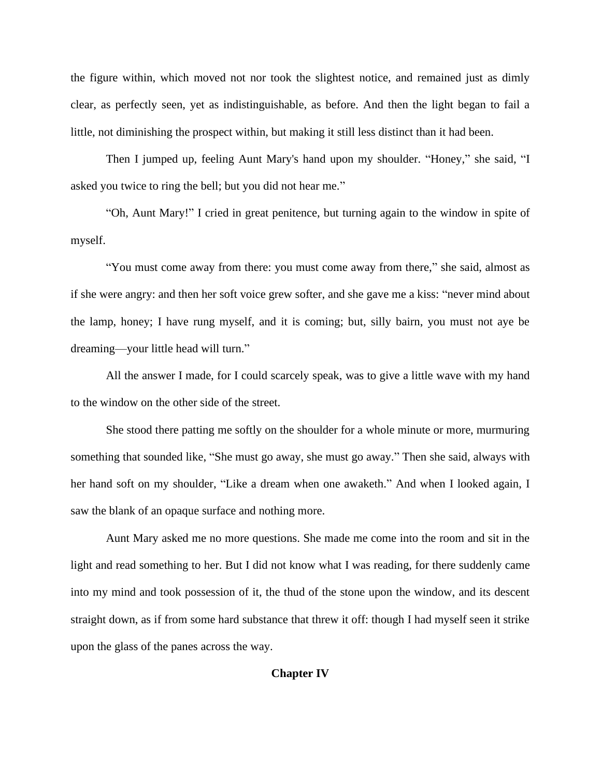the figure within, which moved not nor took the slightest notice, and remained just as dimly clear, as perfectly seen, yet as indistinguishable, as before. And then the light began to fail a little, not diminishing the prospect within, but making it still less distinct than it had been.

Then I jumped up, feeling Aunt Mary's hand upon my shoulder. "Honey," she said, "I asked you twice to ring the bell; but you did not hear me."

"Oh, Aunt Mary!" I cried in great penitence, but turning again to the window in spite of myself.

"You must come away from there: you must come away from there," she said, almost as if she were angry: and then her soft voice grew softer, and she gave me a kiss: "never mind about the lamp, honey; I have rung myself, and it is coming; but, silly bairn, you must not aye be dreaming—your little head will turn."

All the answer I made, for I could scarcely speak, was to give a little wave with my hand to the window on the other side of the street.

She stood there patting me softly on the shoulder for a whole minute or more, murmuring something that sounded like, "She must go away, she must go away." Then she said, always with her hand soft on my shoulder, "Like a dream when one awaketh." And when I looked again, I saw the blank of an opaque surface and nothing more.

Aunt Mary asked me no more questions. She made me come into the room and sit in the light and read something to her. But I did not know what I was reading, for there suddenly came into my mind and took possession of it, the thud of the stone upon the window, and its descent straight down, as if from some hard substance that threw it off: though I had myself seen it strike upon the glass of the panes across the way.

### **Chapter IV**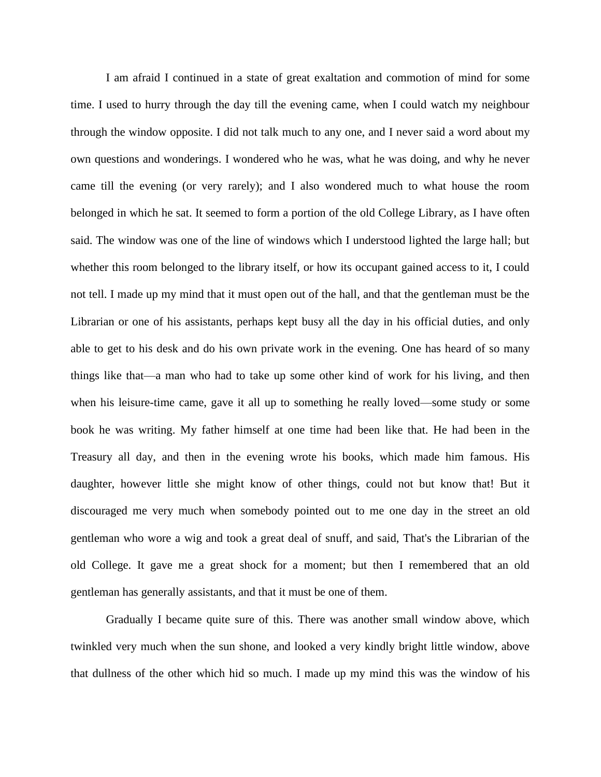I am afraid I continued in a state of great exaltation and commotion of mind for some time. I used to hurry through the day till the evening came, when I could watch my neighbour through the window opposite. I did not talk much to any one, and I never said a word about my own questions and wonderings. I wondered who he was, what he was doing, and why he never came till the evening (or very rarely); and I also wondered much to what house the room belonged in which he sat. It seemed to form a portion of the old College Library, as I have often said. The window was one of the line of windows which I understood lighted the large hall; but whether this room belonged to the library itself, or how its occupant gained access to it, I could not tell. I made up my mind that it must open out of the hall, and that the gentleman must be the Librarian or one of his assistants, perhaps kept busy all the day in his official duties, and only able to get to his desk and do his own private work in the evening. One has heard of so many things like that—a man who had to take up some other kind of work for his living, and then when his leisure-time came, gave it all up to something he really loved—some study or some book he was writing. My father himself at one time had been like that. He had been in the Treasury all day, and then in the evening wrote his books, which made him famous. His daughter, however little she might know of other things, could not but know that! But it discouraged me very much when somebody pointed out to me one day in the street an old gentleman who wore a wig and took a great deal of snuff, and said, That's the Librarian of the old College. It gave me a great shock for a moment; but then I remembered that an old gentleman has generally assistants, and that it must be one of them.

Gradually I became quite sure of this. There was another small window above, which twinkled very much when the sun shone, and looked a very kindly bright little window, above that dullness of the other which hid so much. I made up my mind this was the window of his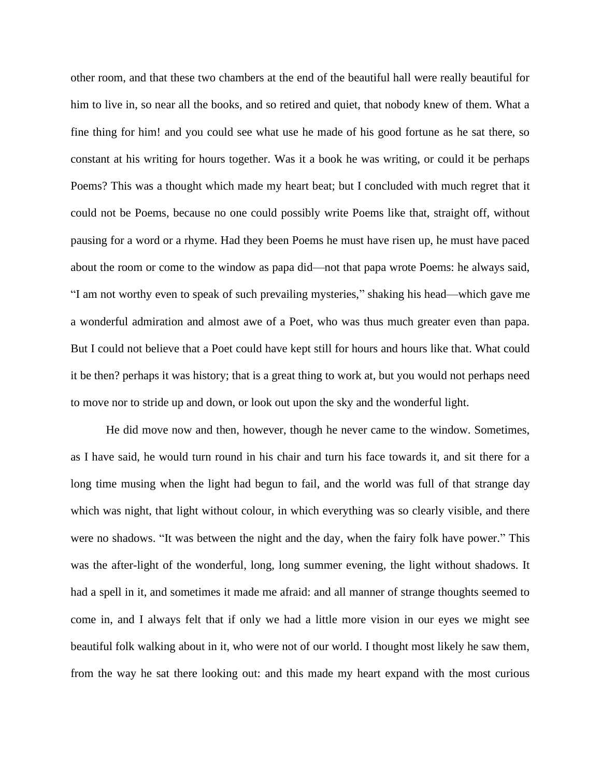other room, and that these two chambers at the end of the beautiful hall were really beautiful for him to live in, so near all the books, and so retired and quiet, that nobody knew of them. What a fine thing for him! and you could see what use he made of his good fortune as he sat there, so constant at his writing for hours together. Was it a book he was writing, or could it be perhaps Poems? This was a thought which made my heart beat; but I concluded with much regret that it could not be Poems, because no one could possibly write Poems like that, straight off, without pausing for a word or a rhyme. Had they been Poems he must have risen up, he must have paced about the room or come to the window as papa did—not that papa wrote Poems: he always said, "I am not worthy even to speak of such prevailing mysteries," shaking his head—which gave me a wonderful admiration and almost awe of a Poet, who was thus much greater even than papa. But I could not believe that a Poet could have kept still for hours and hours like that. What could it be then? perhaps it was history; that is a great thing to work at, but you would not perhaps need to move nor to stride up and down, or look out upon the sky and the wonderful light.

He did move now and then, however, though he never came to the window. Sometimes, as I have said, he would turn round in his chair and turn his face towards it, and sit there for a long time musing when the light had begun to fail, and the world was full of that strange day which was night, that light without colour, in which everything was so clearly visible, and there were no shadows. "It was between the night and the day, when the fairy folk have power." This was the after-light of the wonderful, long, long summer evening, the light without shadows. It had a spell in it, and sometimes it made me afraid: and all manner of strange thoughts seemed to come in, and I always felt that if only we had a little more vision in our eyes we might see beautiful folk walking about in it, who were not of our world. I thought most likely he saw them, from the way he sat there looking out: and this made my heart expand with the most curious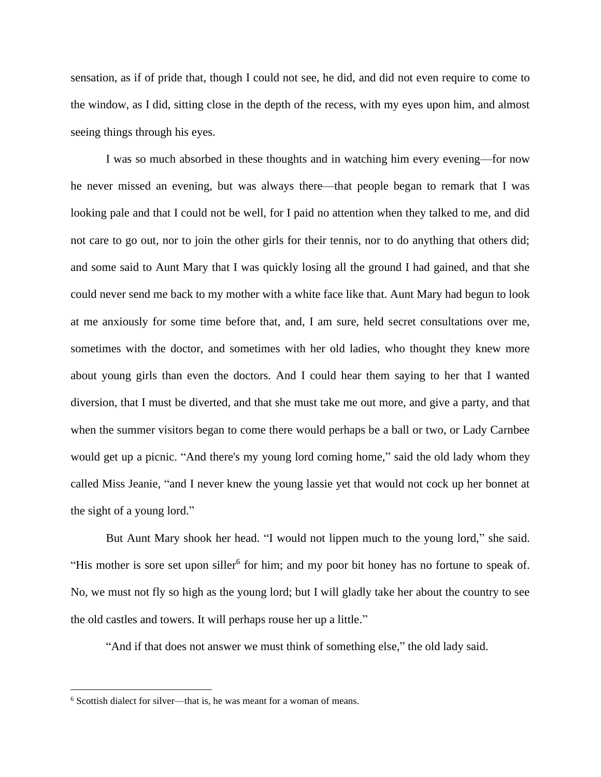sensation, as if of pride that, though I could not see, he did, and did not even require to come to the window, as I did, sitting close in the depth of the recess, with my eyes upon him, and almost seeing things through his eyes.

I was so much absorbed in these thoughts and in watching him every evening—for now he never missed an evening, but was always there—that people began to remark that I was looking pale and that I could not be well, for I paid no attention when they talked to me, and did not care to go out, nor to join the other girls for their tennis, nor to do anything that others did; and some said to Aunt Mary that I was quickly losing all the ground I had gained, and that she could never send me back to my mother with a white face like that. Aunt Mary had begun to look at me anxiously for some time before that, and, I am sure, held secret consultations over me, sometimes with the doctor, and sometimes with her old ladies, who thought they knew more about young girls than even the doctors. And I could hear them saying to her that I wanted diversion, that I must be diverted, and that she must take me out more, and give a party, and that when the summer visitors began to come there would perhaps be a ball or two, or Lady Carnbee would get up a picnic. "And there's my young lord coming home," said the old lady whom they called Miss Jeanie, "and I never knew the young lassie yet that would not cock up her bonnet at the sight of a young lord."

But Aunt Mary shook her head. "I would not lippen much to the young lord," she said. "His mother is sore set upon siller<sup>6</sup> for him; and my poor bit honey has no fortune to speak of. No, we must not fly so high as the young lord; but I will gladly take her about the country to see the old castles and towers. It will perhaps rouse her up a little."

"And if that does not answer we must think of something else," the old lady said.

<sup>6</sup> Scottish dialect for silver—that is, he was meant for a woman of means.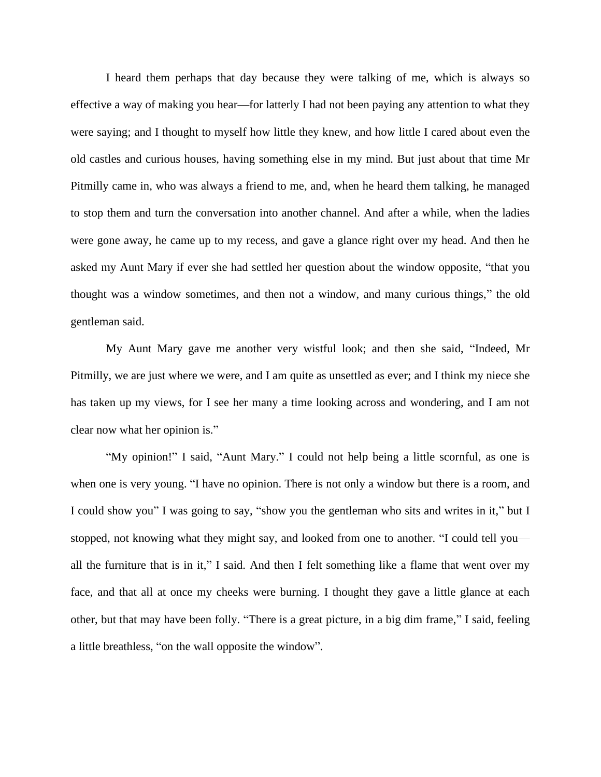I heard them perhaps that day because they were talking of me, which is always so effective a way of making you hear—for latterly I had not been paying any attention to what they were saying; and I thought to myself how little they knew, and how little I cared about even the old castles and curious houses, having something else in my mind. But just about that time Mr Pitmilly came in, who was always a friend to me, and, when he heard them talking, he managed to stop them and turn the conversation into another channel. And after a while, when the ladies were gone away, he came up to my recess, and gave a glance right over my head. And then he asked my Aunt Mary if ever she had settled her question about the window opposite, "that you thought was a window sometimes, and then not a window, and many curious things," the old gentleman said.

My Aunt Mary gave me another very wistful look; and then she said, "Indeed, Mr Pitmilly, we are just where we were, and I am quite as unsettled as ever; and I think my niece she has taken up my views, for I see her many a time looking across and wondering, and I am not clear now what her opinion is."

"My opinion!" I said, "Aunt Mary." I could not help being a little scornful, as one is when one is very young. "I have no opinion. There is not only a window but there is a room, and I could show you" I was going to say, "show you the gentleman who sits and writes in it," but I stopped, not knowing what they might say, and looked from one to another. "I could tell you all the furniture that is in it," I said. And then I felt something like a flame that went over my face, and that all at once my cheeks were burning. I thought they gave a little glance at each other, but that may have been folly. "There is a great picture, in a big dim frame," I said, feeling a little breathless, "on the wall opposite the window".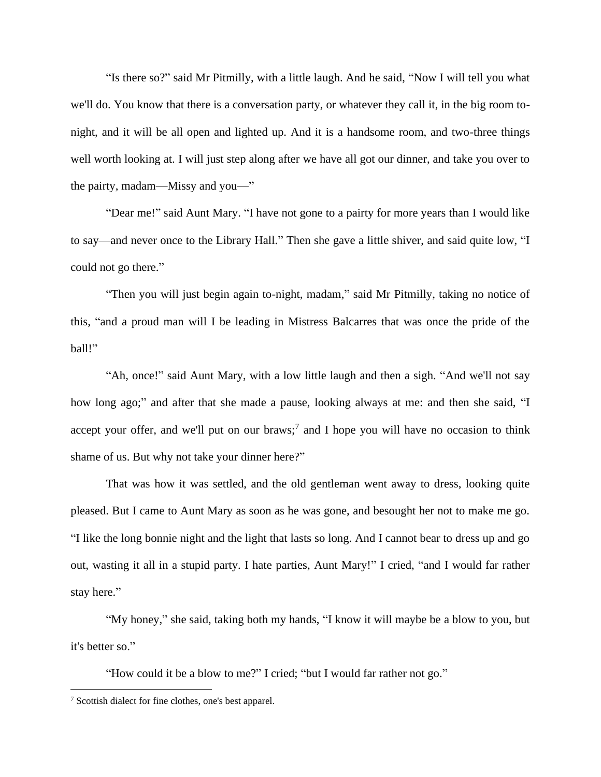"Is there so?" said Mr Pitmilly, with a little laugh. And he said, "Now I will tell you what we'll do. You know that there is a conversation party, or whatever they call it, in the big room tonight, and it will be all open and lighted up. And it is a handsome room, and two-three things well worth looking at. I will just step along after we have all got our dinner, and take you over to the pairty, madam—Missy and you—"

"Dear me!" said Aunt Mary. "I have not gone to a pairty for more years than I would like to say—and never once to the Library Hall." Then she gave a little shiver, and said quite low, "I could not go there."

"Then you will just begin again to-night, madam," said Mr Pitmilly, taking no notice of this, "and a proud man will I be leading in Mistress Balcarres that was once the pride of the ball!"

"Ah, once!" said Aunt Mary, with a low little laugh and then a sigh. "And we'll not say how long ago;" and after that she made a pause, looking always at me: and then she said, "I accept your offer, and we'll put on our braws;<sup>7</sup> and I hope you will have no occasion to think shame of us. But why not take your dinner here?"

That was how it was settled, and the old gentleman went away to dress, looking quite pleased. But I came to Aunt Mary as soon as he was gone, and besought her not to make me go. "I like the long bonnie night and the light that lasts so long. And I cannot bear to dress up and go out, wasting it all in a stupid party. I hate parties, Aunt Mary!" I cried, "and I would far rather stay here."

"My honey," she said, taking both my hands, "I know it will maybe be a blow to you, but it's better so."

"How could it be a blow to me?" I cried; "but I would far rather not go."

<sup>7</sup> Scottish dialect for fine clothes, one's best apparel.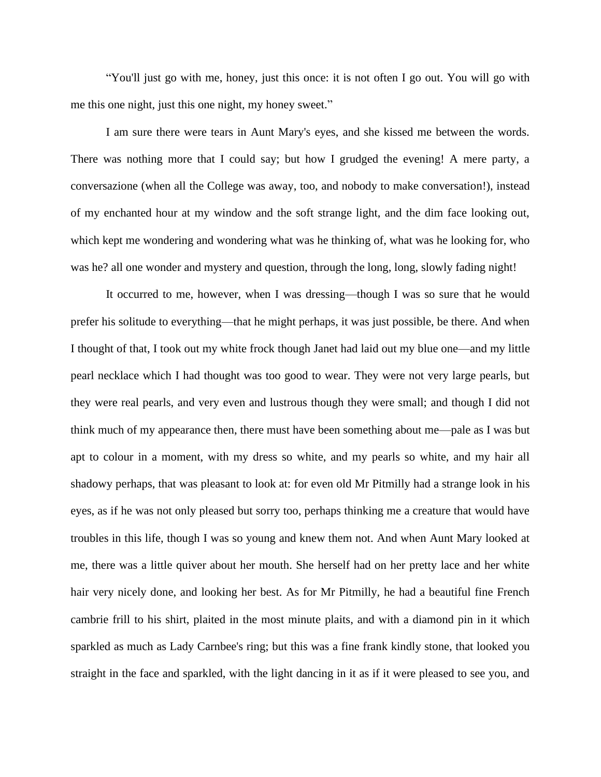"You'll just go with me, honey, just this once: it is not often I go out. You will go with me this one night, just this one night, my honey sweet."

I am sure there were tears in Aunt Mary's eyes, and she kissed me between the words. There was nothing more that I could say; but how I grudged the evening! A mere party, a conversazione (when all the College was away, too, and nobody to make conversation!), instead of my enchanted hour at my window and the soft strange light, and the dim face looking out, which kept me wondering and wondering what was he thinking of, what was he looking for, who was he? all one wonder and mystery and question, through the long, long, slowly fading night!

It occurred to me, however, when I was dressing—though I was so sure that he would prefer his solitude to everything—that he might perhaps, it was just possible, be there. And when I thought of that, I took out my white frock though Janet had laid out my blue one—and my little pearl necklace which I had thought was too good to wear. They were not very large pearls, but they were real pearls, and very even and lustrous though they were small; and though I did not think much of my appearance then, there must have been something about me—pale as I was but apt to colour in a moment, with my dress so white, and my pearls so white, and my hair all shadowy perhaps, that was pleasant to look at: for even old Mr Pitmilly had a strange look in his eyes, as if he was not only pleased but sorry too, perhaps thinking me a creature that would have troubles in this life, though I was so young and knew them not. And when Aunt Mary looked at me, there was a little quiver about her mouth. She herself had on her pretty lace and her white hair very nicely done, and looking her best. As for Mr Pitmilly, he had a beautiful fine French cambrie frill to his shirt, plaited in the most minute plaits, and with a diamond pin in it which sparkled as much as Lady Carnbee's ring; but this was a fine frank kindly stone, that looked you straight in the face and sparkled, with the light dancing in it as if it were pleased to see you, and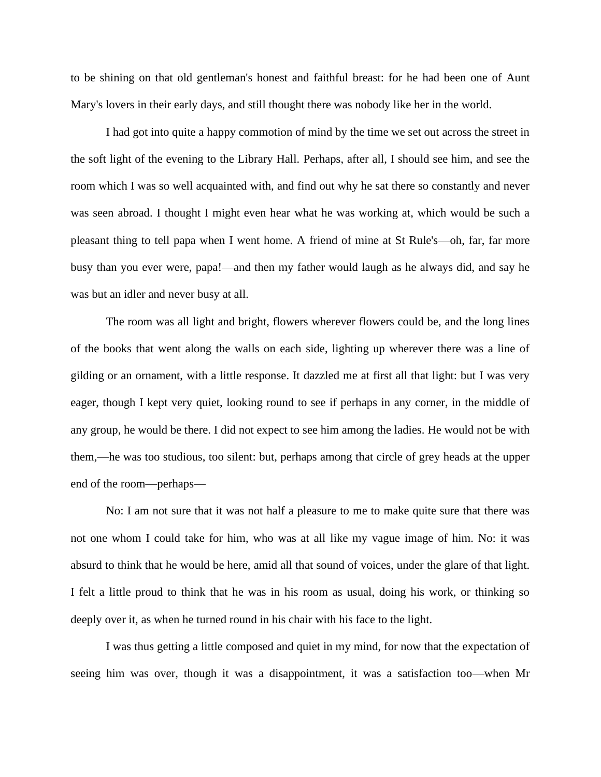to be shining on that old gentleman's honest and faithful breast: for he had been one of Aunt Mary's lovers in their early days, and still thought there was nobody like her in the world.

I had got into quite a happy commotion of mind by the time we set out across the street in the soft light of the evening to the Library Hall. Perhaps, after all, I should see him, and see the room which I was so well acquainted with, and find out why he sat there so constantly and never was seen abroad. I thought I might even hear what he was working at, which would be such a pleasant thing to tell papa when I went home. A friend of mine at St Rule's—oh, far, far more busy than you ever were, papa!—and then my father would laugh as he always did, and say he was but an idler and never busy at all.

The room was all light and bright, flowers wherever flowers could be, and the long lines of the books that went along the walls on each side, lighting up wherever there was a line of gilding or an ornament, with a little response. It dazzled me at first all that light: but I was very eager, though I kept very quiet, looking round to see if perhaps in any corner, in the middle of any group, he would be there. I did not expect to see him among the ladies. He would not be with them,—he was too studious, too silent: but, perhaps among that circle of grey heads at the upper end of the room—perhaps—

No: I am not sure that it was not half a pleasure to me to make quite sure that there was not one whom I could take for him, who was at all like my vague image of him. No: it was absurd to think that he would be here, amid all that sound of voices, under the glare of that light. I felt a little proud to think that he was in his room as usual, doing his work, or thinking so deeply over it, as when he turned round in his chair with his face to the light.

I was thus getting a little composed and quiet in my mind, for now that the expectation of seeing him was over, though it was a disappointment, it was a satisfaction too—when Mr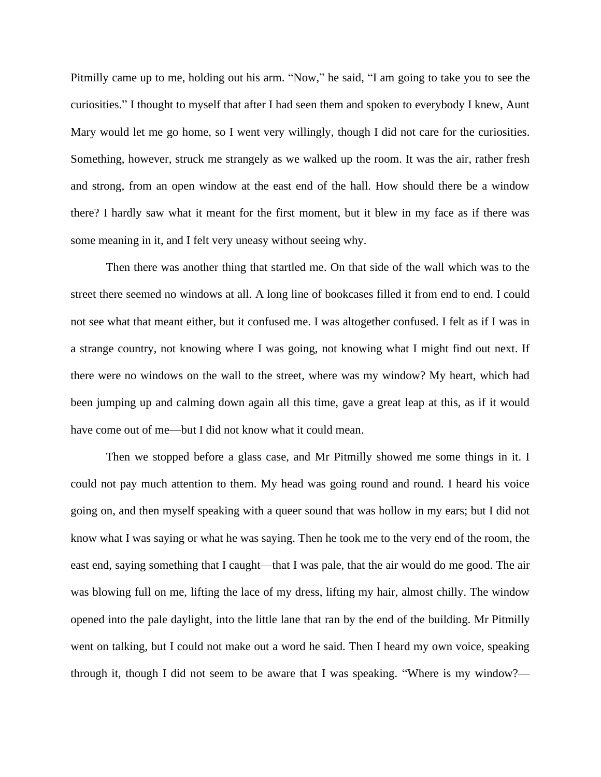Pitmilly came up to me, holding out his arm. "Now," he said, "I am going to take you to see the curiosities." I thought to myself that after I had seen them and spoken to everybody I knew, Aunt Mary would let me go home, so I went very willingly, though I did not care for the curiosities. Something, however, struck me strangely as we walked up the room. It was the air, rather fresh and strong, from an open window at the east end of the hall. How should there be a window there? I hardly saw what it meant for the first moment, but it blew in my face as if there was some meaning in it, and I felt very uneasy without seeing why.

Then there was another thing that startled me. On that side of the wall which was to the street there seemed no windows at all. A long line of bookcases filled it from end to end. I could not see what that meant either, but it confused me. I was altogether confused. I felt as if I was in a strange country, not knowing where I was going, not knowing what I might find out next. If there were no windows on the wall to the street, where was my window? My heart, which had been jumping up and calming down again all this time, gave a great leap at this, as if it would have come out of me—but I did not know what it could mean.

Then we stopped before a glass case, and Mr Pitmilly showed me some things in it. I could not pay much attention to them. My head was going round and round. I heard his voice going on, and then myself speaking with a queer sound that was hollow in my ears; but I did not know what I was saying or what he was saying. Then he took me to the very end of the room, the east end, saying something that I caught—that I was pale, that the air would do me good. The air was blowing full on me, lifting the lace of my dress, lifting my hair, almost chilly. The window opened into the pale daylight, into the little lane that ran by the end of the building. Mr Pitmilly went on talking, but I could not make out a word he said. Then I heard my own voice, speaking through it, though I did not seem to be aware that I was speaking. "Where is my window?—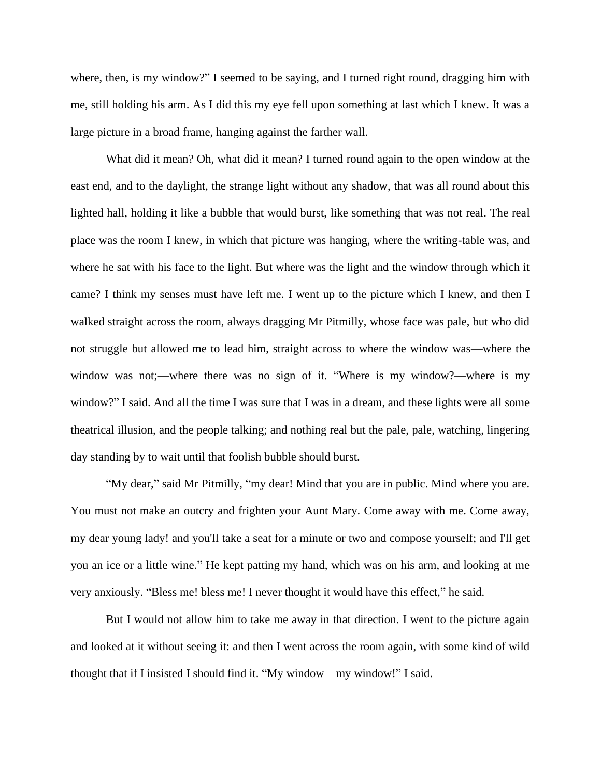where, then, is my window?" I seemed to be saying, and I turned right round, dragging him with me, still holding his arm. As I did this my eye fell upon something at last which I knew. It was a large picture in a broad frame, hanging against the farther wall.

What did it mean? Oh, what did it mean? I turned round again to the open window at the east end, and to the daylight, the strange light without any shadow, that was all round about this lighted hall, holding it like a bubble that would burst, like something that was not real. The real place was the room I knew, in which that picture was hanging, where the writing-table was, and where he sat with his face to the light. But where was the light and the window through which it came? I think my senses must have left me. I went up to the picture which I knew, and then I walked straight across the room, always dragging Mr Pitmilly, whose face was pale, but who did not struggle but allowed me to lead him, straight across to where the window was—where the window was not;—where there was no sign of it. "Where is my window?—where is my window?" I said. And all the time I was sure that I was in a dream, and these lights were all some theatrical illusion, and the people talking; and nothing real but the pale, pale, watching, lingering day standing by to wait until that foolish bubble should burst.

"My dear," said Mr Pitmilly, "my dear! Mind that you are in public. Mind where you are. You must not make an outcry and frighten your Aunt Mary. Come away with me. Come away, my dear young lady! and you'll take a seat for a minute or two and compose yourself; and I'll get you an ice or a little wine." He kept patting my hand, which was on his arm, and looking at me very anxiously. "Bless me! bless me! I never thought it would have this effect," he said.

But I would not allow him to take me away in that direction. I went to the picture again and looked at it without seeing it: and then I went across the room again, with some kind of wild thought that if I insisted I should find it. "My window—my window!" I said.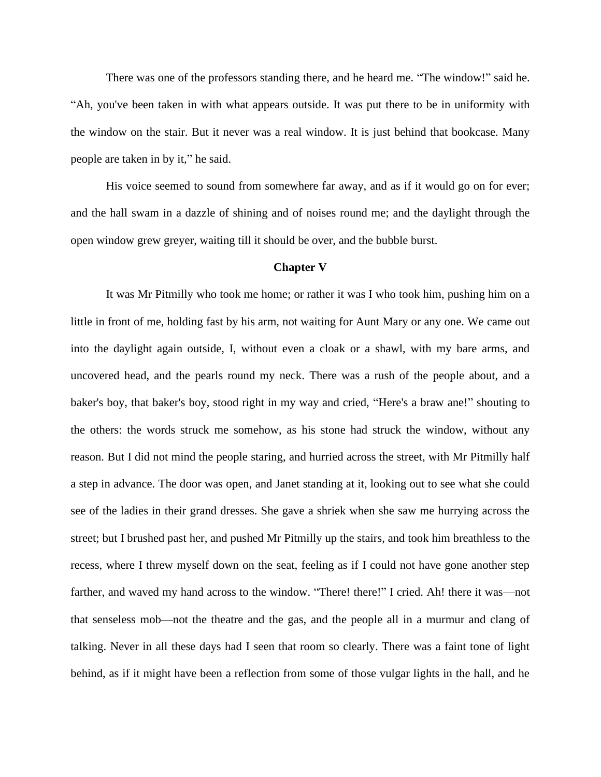There was one of the professors standing there, and he heard me. "The window!" said he. "Ah, you've been taken in with what appears outside. It was put there to be in uniformity with the window on the stair. But it never was a real window. It is just behind that bookcase. Many people are taken in by it," he said.

His voice seemed to sound from somewhere far away, and as if it would go on for ever; and the hall swam in a dazzle of shining and of noises round me; and the daylight through the open window grew greyer, waiting till it should be over, and the bubble burst.

#### **Chapter V**

It was Mr Pitmilly who took me home; or rather it was I who took him, pushing him on a little in front of me, holding fast by his arm, not waiting for Aunt Mary or any one. We came out into the daylight again outside, I, without even a cloak or a shawl, with my bare arms, and uncovered head, and the pearls round my neck. There was a rush of the people about, and a baker's boy, that baker's boy, stood right in my way and cried, "Here's a braw ane!" shouting to the others: the words struck me somehow, as his stone had struck the window, without any reason. But I did not mind the people staring, and hurried across the street, with Mr Pitmilly half a step in advance. The door was open, and Janet standing at it, looking out to see what she could see of the ladies in their grand dresses. She gave a shriek when she saw me hurrying across the street; but I brushed past her, and pushed Mr Pitmilly up the stairs, and took him breathless to the recess, where I threw myself down on the seat, feeling as if I could not have gone another step farther, and waved my hand across to the window. "There! there!" I cried. Ah! there it was—not that senseless mob—not the theatre and the gas, and the people all in a murmur and clang of talking. Never in all these days had I seen that room so clearly. There was a faint tone of light behind, as if it might have been a reflection from some of those vulgar lights in the hall, and he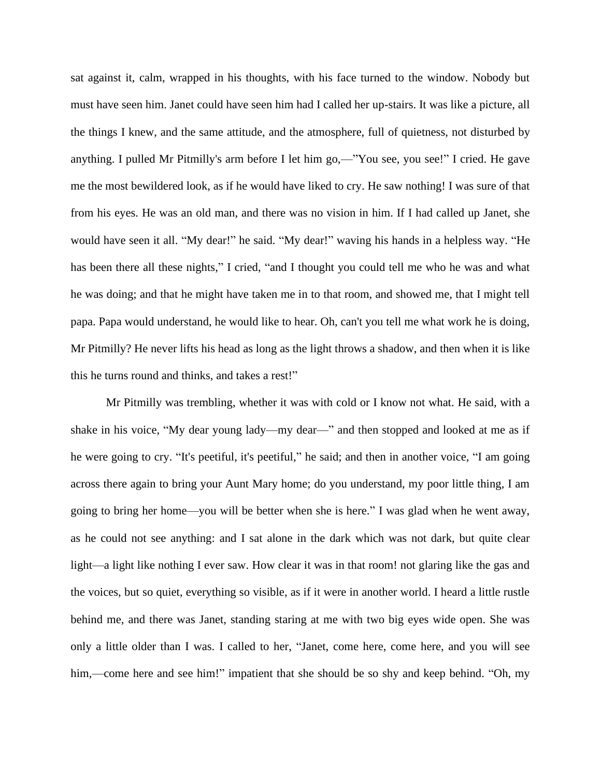sat against it, calm, wrapped in his thoughts, with his face turned to the window. Nobody but must have seen him. Janet could have seen him had I called her up-stairs. It was like a picture, all the things I knew, and the same attitude, and the atmosphere, full of quietness, not disturbed by anything. I pulled Mr Pitmilly's arm before I let him go,—"You see, you see!" I cried. He gave me the most bewildered look, as if he would have liked to cry. He saw nothing! I was sure of that from his eyes. He was an old man, and there was no vision in him. If I had called up Janet, she would have seen it all. "My dear!" he said. "My dear!" waving his hands in a helpless way. "He has been there all these nights," I cried, "and I thought you could tell me who he was and what he was doing; and that he might have taken me in to that room, and showed me, that I might tell papa. Papa would understand, he would like to hear. Oh, can't you tell me what work he is doing, Mr Pitmilly? He never lifts his head as long as the light throws a shadow, and then when it is like this he turns round and thinks, and takes a rest!"

Mr Pitmilly was trembling, whether it was with cold or I know not what. He said, with a shake in his voice, "My dear young lady—my dear—" and then stopped and looked at me as if he were going to cry. "It's peetiful, it's peetiful," he said; and then in another voice, "I am going across there again to bring your Aunt Mary home; do you understand, my poor little thing, I am going to bring her home—you will be better when she is here." I was glad when he went away, as he could not see anything: and I sat alone in the dark which was not dark, but quite clear light—a light like nothing I ever saw. How clear it was in that room! not glaring like the gas and the voices, but so quiet, everything so visible, as if it were in another world. I heard a little rustle behind me, and there was Janet, standing staring at me with two big eyes wide open. She was only a little older than I was. I called to her, "Janet, come here, come here, and you will see him,—come here and see him!" impatient that she should be so shy and keep behind. "Oh, my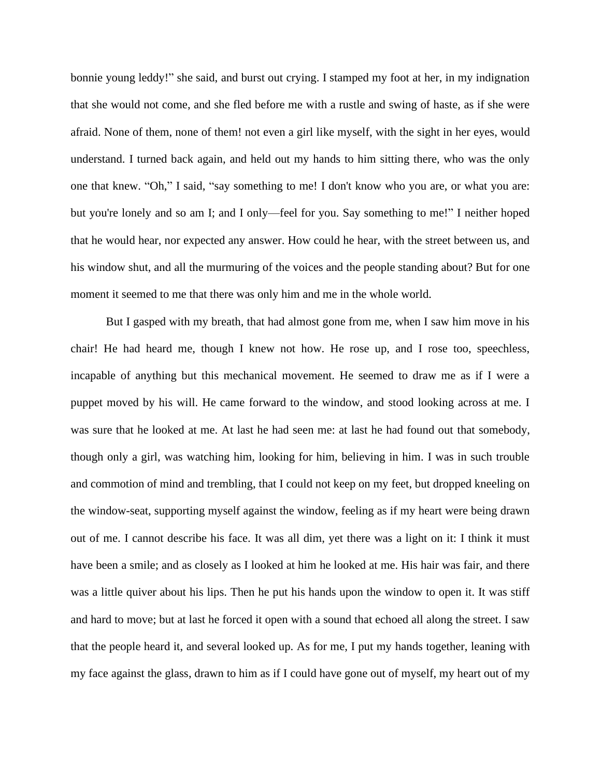bonnie young leddy!" she said, and burst out crying. I stamped my foot at her, in my indignation that she would not come, and she fled before me with a rustle and swing of haste, as if she were afraid. None of them, none of them! not even a girl like myself, with the sight in her eyes, would understand. I turned back again, and held out my hands to him sitting there, who was the only one that knew. "Oh," I said, "say something to me! I don't know who you are, or what you are: but you're lonely and so am I; and I only—feel for you. Say something to me!" I neither hoped that he would hear, nor expected any answer. How could he hear, with the street between us, and his window shut, and all the murmuring of the voices and the people standing about? But for one moment it seemed to me that there was only him and me in the whole world.

But I gasped with my breath, that had almost gone from me, when I saw him move in his chair! He had heard me, though I knew not how. He rose up, and I rose too, speechless, incapable of anything but this mechanical movement. He seemed to draw me as if I were a puppet moved by his will. He came forward to the window, and stood looking across at me. I was sure that he looked at me. At last he had seen me: at last he had found out that somebody, though only a girl, was watching him, looking for him, believing in him. I was in such trouble and commotion of mind and trembling, that I could not keep on my feet, but dropped kneeling on the window-seat, supporting myself against the window, feeling as if my heart were being drawn out of me. I cannot describe his face. It was all dim, yet there was a light on it: I think it must have been a smile; and as closely as I looked at him he looked at me. His hair was fair, and there was a little quiver about his lips. Then he put his hands upon the window to open it. It was stiff and hard to move; but at last he forced it open with a sound that echoed all along the street. I saw that the people heard it, and several looked up. As for me, I put my hands together, leaning with my face against the glass, drawn to him as if I could have gone out of myself, my heart out of my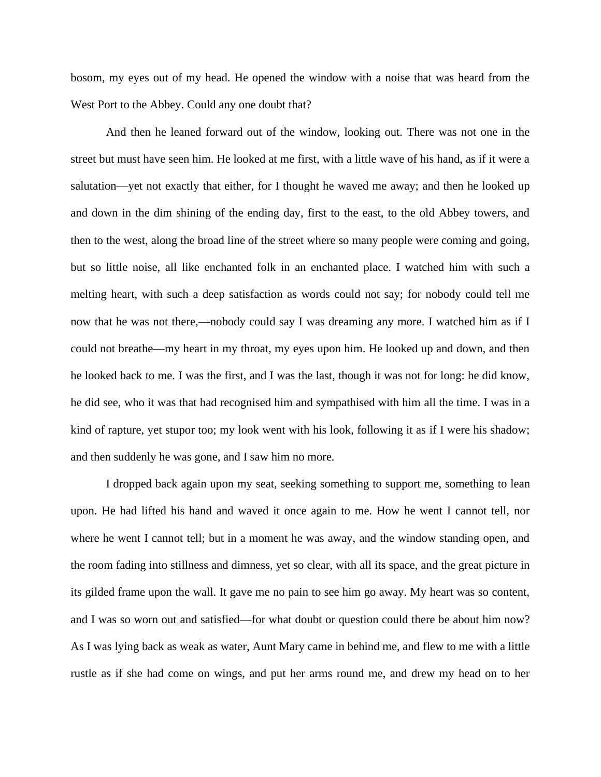bosom, my eyes out of my head. He opened the window with a noise that was heard from the West Port to the Abbey. Could any one doubt that?

And then he leaned forward out of the window, looking out. There was not one in the street but must have seen him. He looked at me first, with a little wave of his hand, as if it were a salutation—yet not exactly that either, for I thought he waved me away; and then he looked up and down in the dim shining of the ending day, first to the east, to the old Abbey towers, and then to the west, along the broad line of the street where so many people were coming and going, but so little noise, all like enchanted folk in an enchanted place. I watched him with such a melting heart, with such a deep satisfaction as words could not say; for nobody could tell me now that he was not there,—nobody could say I was dreaming any more. I watched him as if I could not breathe—my heart in my throat, my eyes upon him. He looked up and down, and then he looked back to me. I was the first, and I was the last, though it was not for long: he did know, he did see, who it was that had recognised him and sympathised with him all the time. I was in a kind of rapture, yet stupor too; my look went with his look, following it as if I were his shadow; and then suddenly he was gone, and I saw him no more.

I dropped back again upon my seat, seeking something to support me, something to lean upon. He had lifted his hand and waved it once again to me. How he went I cannot tell, nor where he went I cannot tell; but in a moment he was away, and the window standing open, and the room fading into stillness and dimness, yet so clear, with all its space, and the great picture in its gilded frame upon the wall. It gave me no pain to see him go away. My heart was so content, and I was so worn out and satisfied—for what doubt or question could there be about him now? As I was lying back as weak as water, Aunt Mary came in behind me, and flew to me with a little rustle as if she had come on wings, and put her arms round me, and drew my head on to her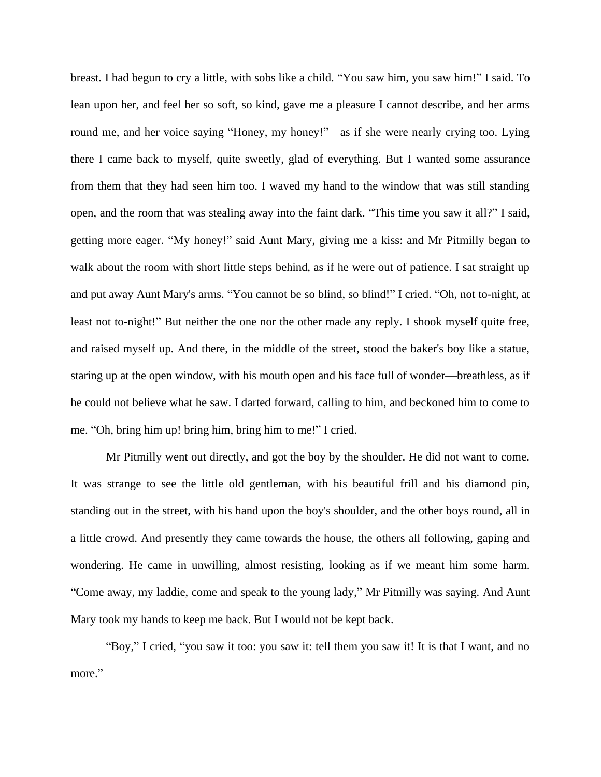breast. I had begun to cry a little, with sobs like a child. "You saw him, you saw him!" I said. To lean upon her, and feel her so soft, so kind, gave me a pleasure I cannot describe, and her arms round me, and her voice saying "Honey, my honey!"—as if she were nearly crying too. Lying there I came back to myself, quite sweetly, glad of everything. But I wanted some assurance from them that they had seen him too. I waved my hand to the window that was still standing open, and the room that was stealing away into the faint dark. "This time you saw it all?" I said, getting more eager. "My honey!" said Aunt Mary, giving me a kiss: and Mr Pitmilly began to walk about the room with short little steps behind, as if he were out of patience. I sat straight up and put away Aunt Mary's arms. "You cannot be so blind, so blind!" I cried. "Oh, not to-night, at least not to-night!" But neither the one nor the other made any reply. I shook myself quite free, and raised myself up. And there, in the middle of the street, stood the baker's boy like a statue, staring up at the open window, with his mouth open and his face full of wonder—breathless, as if he could not believe what he saw. I darted forward, calling to him, and beckoned him to come to me. "Oh, bring him up! bring him, bring him to me!" I cried.

Mr Pitmilly went out directly, and got the boy by the shoulder. He did not want to come. It was strange to see the little old gentleman, with his beautiful frill and his diamond pin, standing out in the street, with his hand upon the boy's shoulder, and the other boys round, all in a little crowd. And presently they came towards the house, the others all following, gaping and wondering. He came in unwilling, almost resisting, looking as if we meant him some harm. "Come away, my laddie, come and speak to the young lady," Mr Pitmilly was saying. And Aunt Mary took my hands to keep me back. But I would not be kept back.

"Boy," I cried, "you saw it too: you saw it: tell them you saw it! It is that I want, and no more."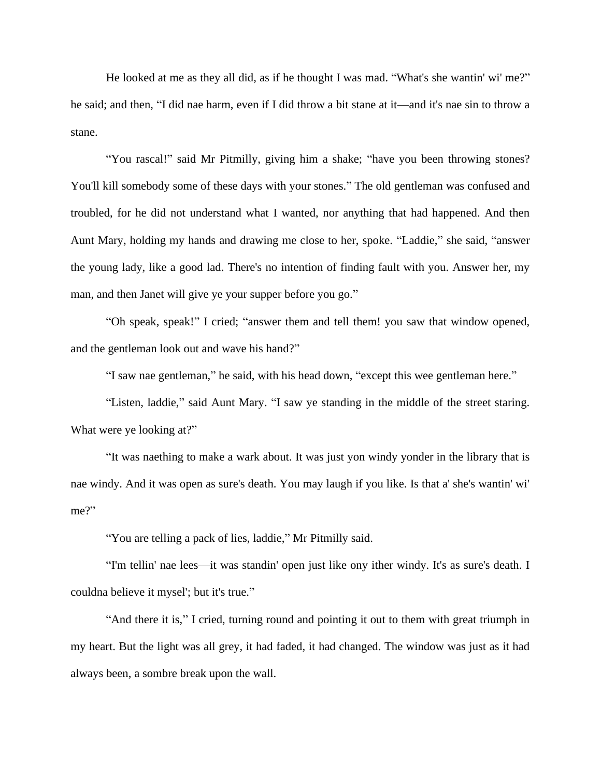He looked at me as they all did, as if he thought I was mad. "What's she wantin' wi' me?" he said; and then, "I did nae harm, even if I did throw a bit stane at it—and it's nae sin to throw a stane.

"You rascal!" said Mr Pitmilly, giving him a shake; "have you been throwing stones? You'll kill somebody some of these days with your stones." The old gentleman was confused and troubled, for he did not understand what I wanted, nor anything that had happened. And then Aunt Mary, holding my hands and drawing me close to her, spoke. "Laddie," she said, "answer the young lady, like a good lad. There's no intention of finding fault with you. Answer her, my man, and then Janet will give ye your supper before you go."

"Oh speak, speak!" I cried; "answer them and tell them! you saw that window opened, and the gentleman look out and wave his hand?"

"I saw nae gentleman," he said, with his head down, "except this wee gentleman here."

"Listen, laddie," said Aunt Mary. "I saw ye standing in the middle of the street staring. What were ye looking at?"

"It was naething to make a wark about. It was just yon windy yonder in the library that is nae windy. And it was open as sure's death. You may laugh if you like. Is that a' she's wantin' wi' me?"

"You are telling a pack of lies, laddie," Mr Pitmilly said.

"I'm tellin' nae lees—it was standin' open just like ony ither windy. It's as sure's death. I couldna believe it mysel'; but it's true."

"And there it is," I cried, turning round and pointing it out to them with great triumph in my heart. But the light was all grey, it had faded, it had changed. The window was just as it had always been, a sombre break upon the wall.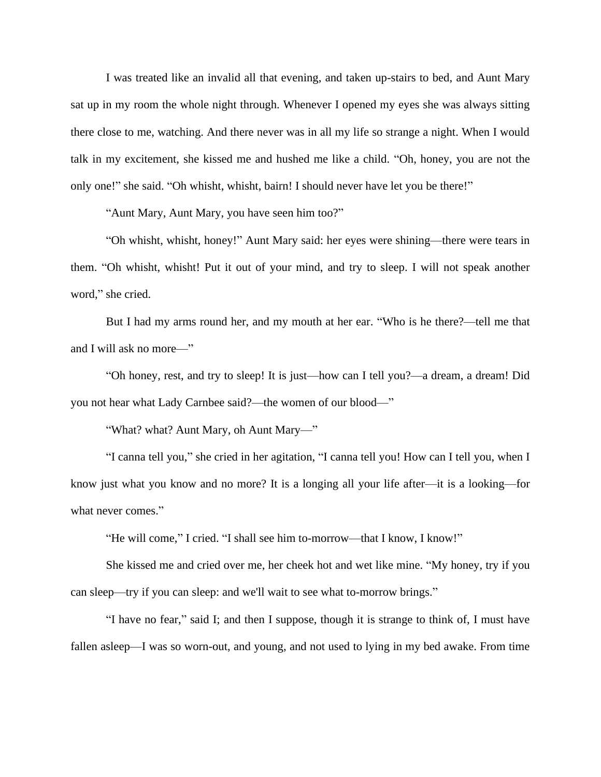I was treated like an invalid all that evening, and taken up-stairs to bed, and Aunt Mary sat up in my room the whole night through. Whenever I opened my eyes she was always sitting there close to me, watching. And there never was in all my life so strange a night. When I would talk in my excitement, she kissed me and hushed me like a child. "Oh, honey, you are not the only one!" she said. "Oh whisht, whisht, bairn! I should never have let you be there!"

"Aunt Mary, Aunt Mary, you have seen him too?"

"Oh whisht, whisht, honey!" Aunt Mary said: her eyes were shining—there were tears in them. "Oh whisht, whisht! Put it out of your mind, and try to sleep. I will not speak another word," she cried.

But I had my arms round her, and my mouth at her ear. "Who is he there?—tell me that and I will ask no more—"

"Oh honey, rest, and try to sleep! It is just—how can I tell you?—a dream, a dream! Did you not hear what Lady Carnbee said?—the women of our blood—"

"What? what? Aunt Mary, oh Aunt Mary—"

"I canna tell you," she cried in her agitation, "I canna tell you! How can I tell you, when I know just what you know and no more? It is a longing all your life after—it is a looking—for what never comes."

"He will come," I cried. "I shall see him to-morrow—that I know, I know!"

She kissed me and cried over me, her cheek hot and wet like mine. "My honey, try if you can sleep—try if you can sleep: and we'll wait to see what to-morrow brings."

"I have no fear," said I; and then I suppose, though it is strange to think of, I must have fallen asleep—I was so worn-out, and young, and not used to lying in my bed awake. From time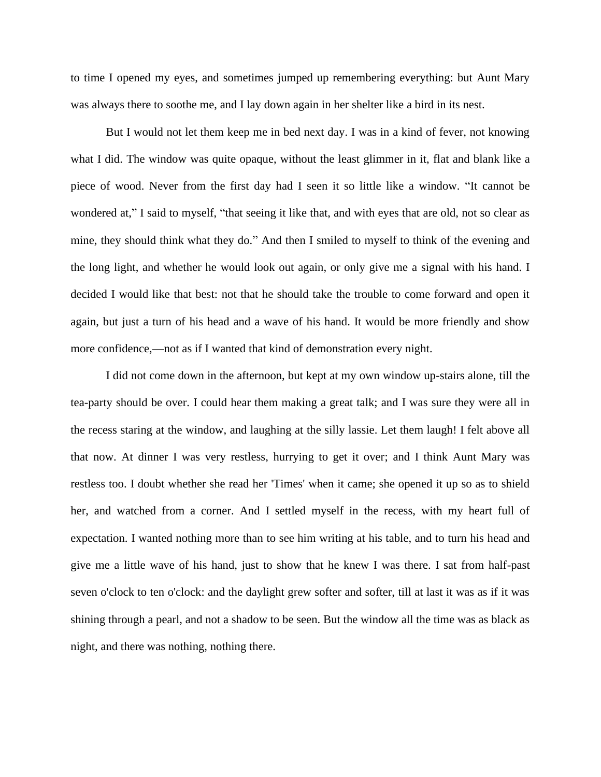to time I opened my eyes, and sometimes jumped up remembering everything: but Aunt Mary was always there to soothe me, and I lay down again in her shelter like a bird in its nest.

But I would not let them keep me in bed next day. I was in a kind of fever, not knowing what I did. The window was quite opaque, without the least glimmer in it, flat and blank like a piece of wood. Never from the first day had I seen it so little like a window. "It cannot be wondered at," I said to myself, "that seeing it like that, and with eyes that are old, not so clear as mine, they should think what they do." And then I smiled to myself to think of the evening and the long light, and whether he would look out again, or only give me a signal with his hand. I decided I would like that best: not that he should take the trouble to come forward and open it again, but just a turn of his head and a wave of his hand. It would be more friendly and show more confidence,—not as if I wanted that kind of demonstration every night.

I did not come down in the afternoon, but kept at my own window up-stairs alone, till the tea-party should be over. I could hear them making a great talk; and I was sure they were all in the recess staring at the window, and laughing at the silly lassie. Let them laugh! I felt above all that now. At dinner I was very restless, hurrying to get it over; and I think Aunt Mary was restless too. I doubt whether she read her 'Times' when it came; she opened it up so as to shield her, and watched from a corner. And I settled myself in the recess, with my heart full of expectation. I wanted nothing more than to see him writing at his table, and to turn his head and give me a little wave of his hand, just to show that he knew I was there. I sat from half-past seven o'clock to ten o'clock: and the daylight grew softer and softer, till at last it was as if it was shining through a pearl, and not a shadow to be seen. But the window all the time was as black as night, and there was nothing, nothing there.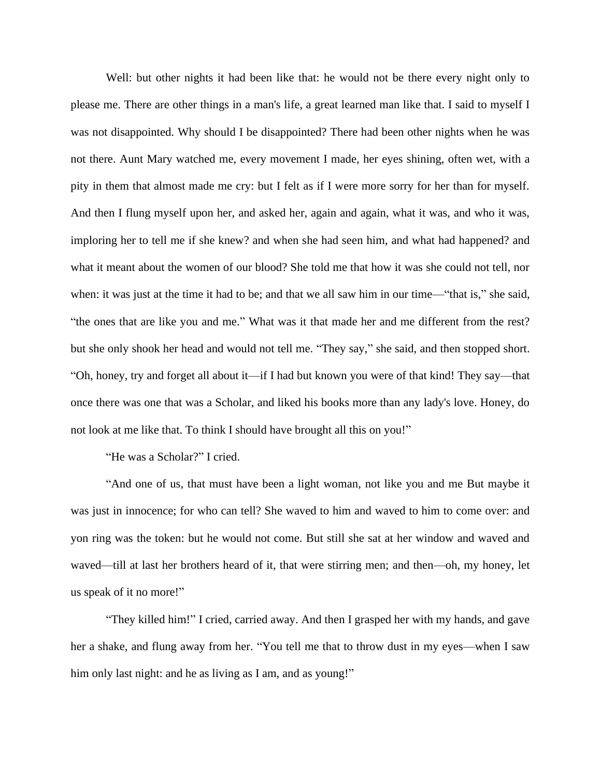Well: but other nights it had been like that: he would not be there every night only to please me. There are other things in a man's life, a great learned man like that. I said to myself I was not disappointed. Why should I be disappointed? There had been other nights when he was not there. Aunt Mary watched me, every movement I made, her eyes shining, often wet, with a pity in them that almost made me cry: but I felt as if I were more sorry for her than for myself. And then I flung myself upon her, and asked her, again and again, what it was, and who it was, imploring her to tell me if she knew? and when she had seen him, and what had happened? and what it meant about the women of our blood? She told me that how it was she could not tell, nor when: it was just at the time it had to be; and that we all saw him in our time—"that is," she said, "the ones that are like you and me." What was it that made her and me different from the rest? but she only shook her head and would not tell me. "They say," she said, and then stopped short. "Oh, honey, try and forget all about it—if I had but known you were of that kind! They say—that once there was one that was a Scholar, and liked his books more than any lady's love. Honey, do not look at me like that. To think I should have brought all this on you!"

"He was a Scholar?" I cried.

"And one of us, that must have been a light woman, not like you and me But maybe it was just in innocence; for who can tell? She waved to him and waved to him to come over: and yon ring was the token: but he would not come. But still she sat at her window and waved and waved—till at last her brothers heard of it, that were stirring men; and then—oh, my honey, let us speak of it no more!"

"They killed him!" I cried, carried away. And then I grasped her with my hands, and gave her a shake, and flung away from her. "You tell me that to throw dust in my eyes—when I saw him only last night: and he as living as I am, and as young!"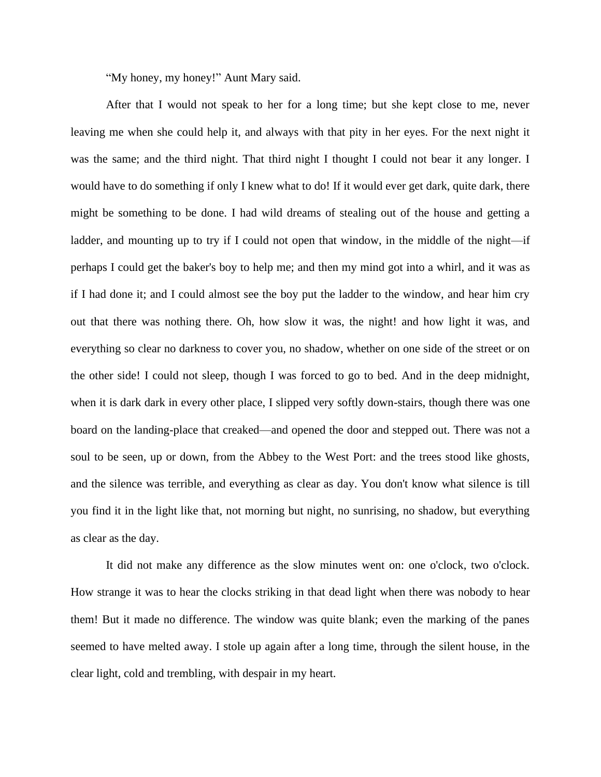"My honey, my honey!" Aunt Mary said.

After that I would not speak to her for a long time; but she kept close to me, never leaving me when she could help it, and always with that pity in her eyes. For the next night it was the same; and the third night. That third night I thought I could not bear it any longer. I would have to do something if only I knew what to do! If it would ever get dark, quite dark, there might be something to be done. I had wild dreams of stealing out of the house and getting a ladder, and mounting up to try if I could not open that window, in the middle of the night—if perhaps I could get the baker's boy to help me; and then my mind got into a whirl, and it was as if I had done it; and I could almost see the boy put the ladder to the window, and hear him cry out that there was nothing there. Oh, how slow it was, the night! and how light it was, and everything so clear no darkness to cover you, no shadow, whether on one side of the street or on the other side! I could not sleep, though I was forced to go to bed. And in the deep midnight, when it is dark dark in every other place, I slipped very softly down-stairs, though there was one board on the landing-place that creaked—and opened the door and stepped out. There was not a soul to be seen, up or down, from the Abbey to the West Port: and the trees stood like ghosts, and the silence was terrible, and everything as clear as day. You don't know what silence is till you find it in the light like that, not morning but night, no sunrising, no shadow, but everything as clear as the day.

It did not make any difference as the slow minutes went on: one o'clock, two o'clock. How strange it was to hear the clocks striking in that dead light when there was nobody to hear them! But it made no difference. The window was quite blank; even the marking of the panes seemed to have melted away. I stole up again after a long time, through the silent house, in the clear light, cold and trembling, with despair in my heart.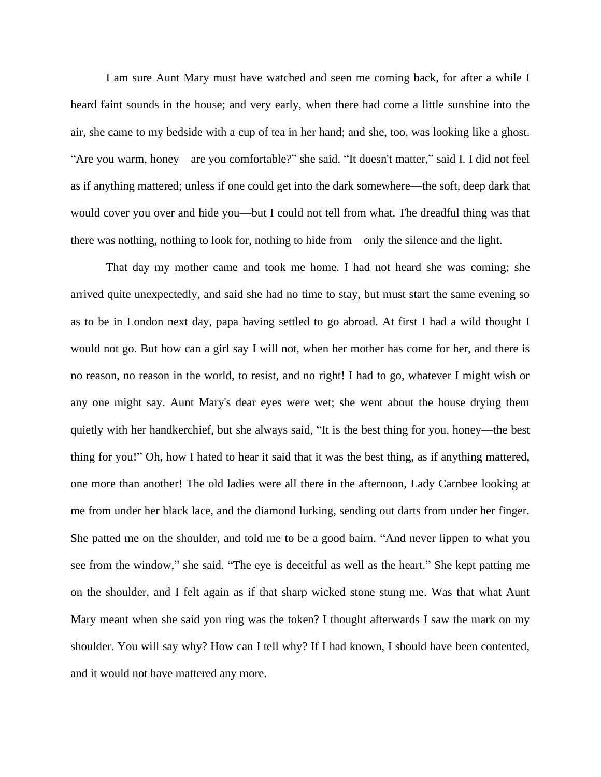I am sure Aunt Mary must have watched and seen me coming back, for after a while I heard faint sounds in the house; and very early, when there had come a little sunshine into the air, she came to my bedside with a cup of tea in her hand; and she, too, was looking like a ghost. "Are you warm, honey—are you comfortable?" she said. "It doesn't matter," said I. I did not feel as if anything mattered; unless if one could get into the dark somewhere—the soft, deep dark that would cover you over and hide you—but I could not tell from what. The dreadful thing was that there was nothing, nothing to look for, nothing to hide from—only the silence and the light.

That day my mother came and took me home. I had not heard she was coming; she arrived quite unexpectedly, and said she had no time to stay, but must start the same evening so as to be in London next day, papa having settled to go abroad. At first I had a wild thought I would not go. But how can a girl say I will not, when her mother has come for her, and there is no reason, no reason in the world, to resist, and no right! I had to go, whatever I might wish or any one might say. Aunt Mary's dear eyes were wet; she went about the house drying them quietly with her handkerchief, but she always said, "It is the best thing for you, honey—the best thing for you!" Oh, how I hated to hear it said that it was the best thing, as if anything mattered, one more than another! The old ladies were all there in the afternoon, Lady Carnbee looking at me from under her black lace, and the diamond lurking, sending out darts from under her finger. She patted me on the shoulder, and told me to be a good bairn. "And never lippen to what you see from the window," she said. "The eye is deceitful as well as the heart." She kept patting me on the shoulder, and I felt again as if that sharp wicked stone stung me. Was that what Aunt Mary meant when she said yon ring was the token? I thought afterwards I saw the mark on my shoulder. You will say why? How can I tell why? If I had known, I should have been contented, and it would not have mattered any more.